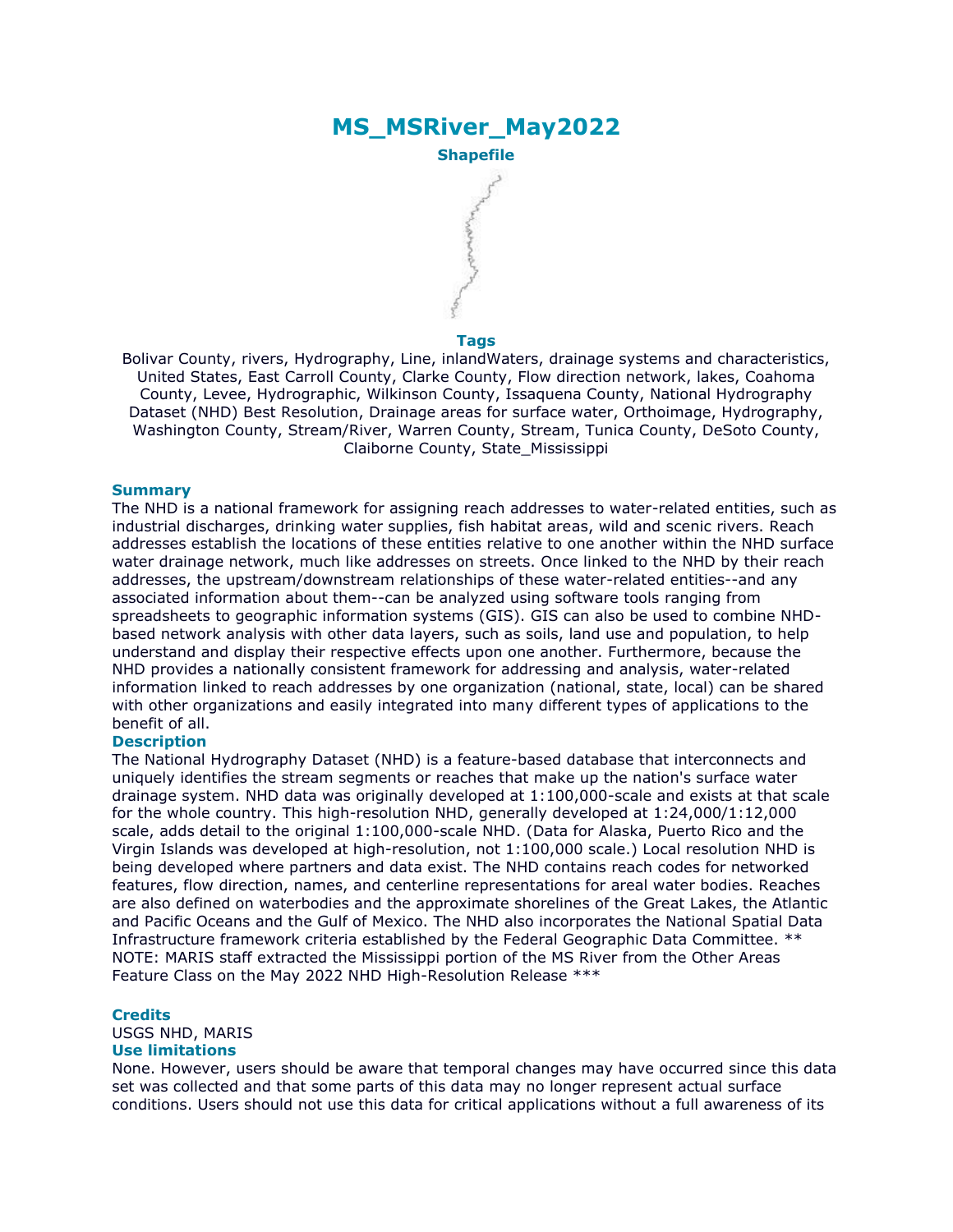# **MS\_MSRiver\_May2022 Shapefile**

### **Tags**

Bolivar County, rivers, Hydrography, Line, inlandWaters, drainage systems and characteristics, United States, East Carroll County, Clarke County, Flow direction network, lakes, Coahoma County, Levee, Hydrographic, Wilkinson County, Issaquena County, National Hydrography Dataset (NHD) Best Resolution, Drainage areas for surface water, Orthoimage, Hydrography, Washington County, Stream/River, Warren County, Stream, Tunica County, DeSoto County, Claiborne County, State\_Mississippi

### **Summary**

The NHD is a national framework for assigning reach addresses to water-related entities, such as industrial discharges, drinking water supplies, fish habitat areas, wild and scenic rivers. Reach addresses establish the locations of these entities relative to one another within the NHD surface water drainage network, much like addresses on streets. Once linked to the NHD by their reach addresses, the upstream/downstream relationships of these water-related entities--and any associated information about them--can be analyzed using software tools ranging from spreadsheets to geographic information systems (GIS). GIS can also be used to combine NHDbased network analysis with other data layers, such as soils, land use and population, to help understand and display their respective effects upon one another. Furthermore, because the NHD provides a nationally consistent framework for addressing and analysis, water-related information linked to reach addresses by one organization (national, state, local) can be shared with other organizations and easily integrated into many different types of applications to the benefit of all.

### **Description**

The National Hydrography Dataset (NHD) is a feature-based database that interconnects and uniquely identifies the stream segments or reaches that make up the nation's surface water drainage system. NHD data was originally developed at 1:100,000-scale and exists at that scale for the whole country. This high-resolution NHD, generally developed at 1:24,000/1:12,000 scale, adds detail to the original 1:100,000-scale NHD. (Data for Alaska, Puerto Rico and the Virgin Islands was developed at high-resolution, not 1:100,000 scale.) Local resolution NHD is being developed where partners and data exist. The NHD contains reach codes for networked features, flow direction, names, and centerline representations for areal water bodies. Reaches are also defined on waterbodies and the approximate shorelines of the Great Lakes, the Atlantic and Pacific Oceans and the Gulf of Mexico. The NHD also incorporates the National Spatial Data Infrastructure framework criteria established by the Federal Geographic Data Committee. \*\* NOTE: MARIS staff extracted the Mississippi portion of the MS River from the Other Areas Feature Class on the May 2022 NHD High-Resolution Release \*\*\*

#### **Credits**

USGS NHD, MARIS

### **Use limitations**

None. However, users should be aware that temporal changes may have occurred since this data set was collected and that some parts of this data may no longer represent actual surface conditions. Users should not use this data for critical applications without a full awareness of its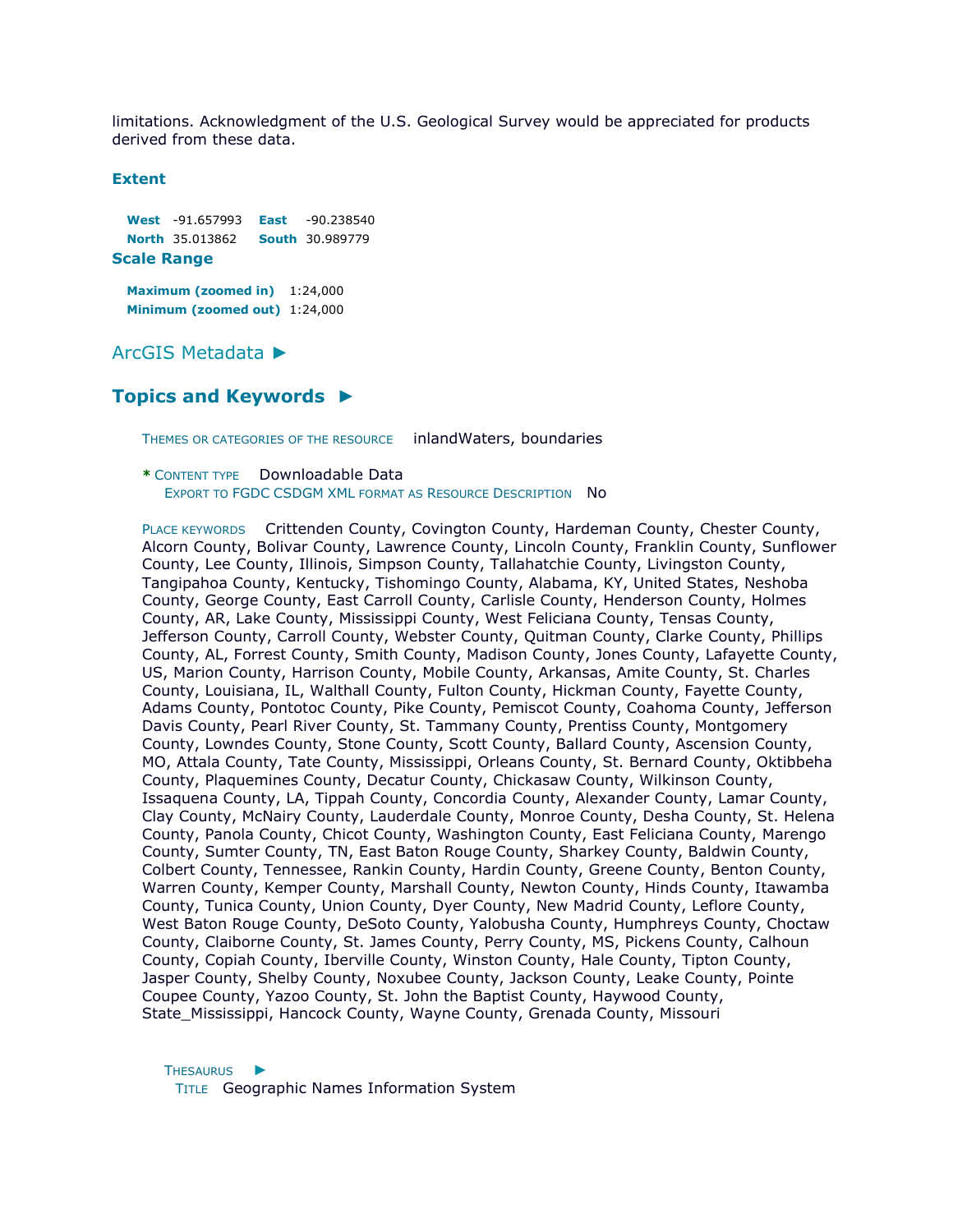limitations. Acknowledgment of the U.S. Geological Survey would be appreciated for products derived from these data.

### **Extent**

**West** -91.657993 **East** -90.238540 **North** 35.013862 **South** 30.989779

### **Scale Range**

**Maximum (zoomed in)** 1:24,000 **Minimum (zoomed out)** 1:24,000

[ArcGIS Metadata](file:///C:/Users/swalker/AppData/Local/Temp/arcA846/tmpFAD.tmp.htm%23arcgisMetadata) [►](file:///C:/Users/swalker/AppData/Local/Temp/arcA846/tmpFAD.tmp.htm%23arcgisMetadata)

## **[Topics and Keywords](file:///C:/Users/swalker/AppData/Local/Temp/arcA846/tmpFAD.tmp.htm%23true) [►](file:///C:/Users/swalker/AppData/Local/Temp/arcA846/tmpFAD.tmp.htm%23true)**

THEMES OR CATEGORIES OF THE RESOURCE inlandWaters, boundaries

**\*** CONTENT TYPE Downloadable Data EXPORT TO FGDC CSDGM XML FORMAT AS RESOURCE DESCRIPTION NO

PLACE KEYWORDS Crittenden County, Covington County, Hardeman County, Chester County, Alcorn County, Bolivar County, Lawrence County, Lincoln County, Franklin County, Sunflower County, Lee County, Illinois, Simpson County, Tallahatchie County, Livingston County, Tangipahoa County, Kentucky, Tishomingo County, Alabama, KY, United States, Neshoba County, George County, East Carroll County, Carlisle County, Henderson County, Holmes County, AR, Lake County, Mississippi County, West Feliciana County, Tensas County, Jefferson County, Carroll County, Webster County, Quitman County, Clarke County, Phillips County, AL, Forrest County, Smith County, Madison County, Jones County, Lafayette County, US, Marion County, Harrison County, Mobile County, Arkansas, Amite County, St. Charles County, Louisiana, IL, Walthall County, Fulton County, Hickman County, Fayette County, Adams County, Pontotoc County, Pike County, Pemiscot County, Coahoma County, Jefferson Davis County, Pearl River County, St. Tammany County, Prentiss County, Montgomery County, Lowndes County, Stone County, Scott County, Ballard County, Ascension County, MO, Attala County, Tate County, Mississippi, Orleans County, St. Bernard County, Oktibbeha County, Plaquemines County, Decatur County, Chickasaw County, Wilkinson County, Issaquena County, LA, Tippah County, Concordia County, Alexander County, Lamar County, Clay County, McNairy County, Lauderdale County, Monroe County, Desha County, St. Helena County, Panola County, Chicot County, Washington County, East Feliciana County, Marengo County, Sumter County, TN, East Baton Rouge County, Sharkey County, Baldwin County, Colbert County, Tennessee, Rankin County, Hardin County, Greene County, Benton County, Warren County, Kemper County, Marshall County, Newton County, Hinds County, Itawamba County, Tunica County, Union County, Dyer County, New Madrid County, Leflore County, West Baton Rouge County, DeSoto County, Yalobusha County, Humphreys County, Choctaw County, Claiborne County, St. James County, Perry County, MS, Pickens County, Calhoun County, Copiah County, Iberville County, Winston County, Hale County, Tipton County, Jasper County, Shelby County, Noxubee County, Jackson County, Leake County, Pointe Coupee County, Yazoo County, St. John the Baptist County, Haywood County, State\_Mississippi, Hancock County, Wayne County, Grenada County, Missouri

T[HESAURUS](file:///C:/Users/swalker/AppData/Local/Temp/arcA846/tmpFAD.tmp.htm%23ID0EA0YE0QHA) ▶ TITLE Geographic Names Information System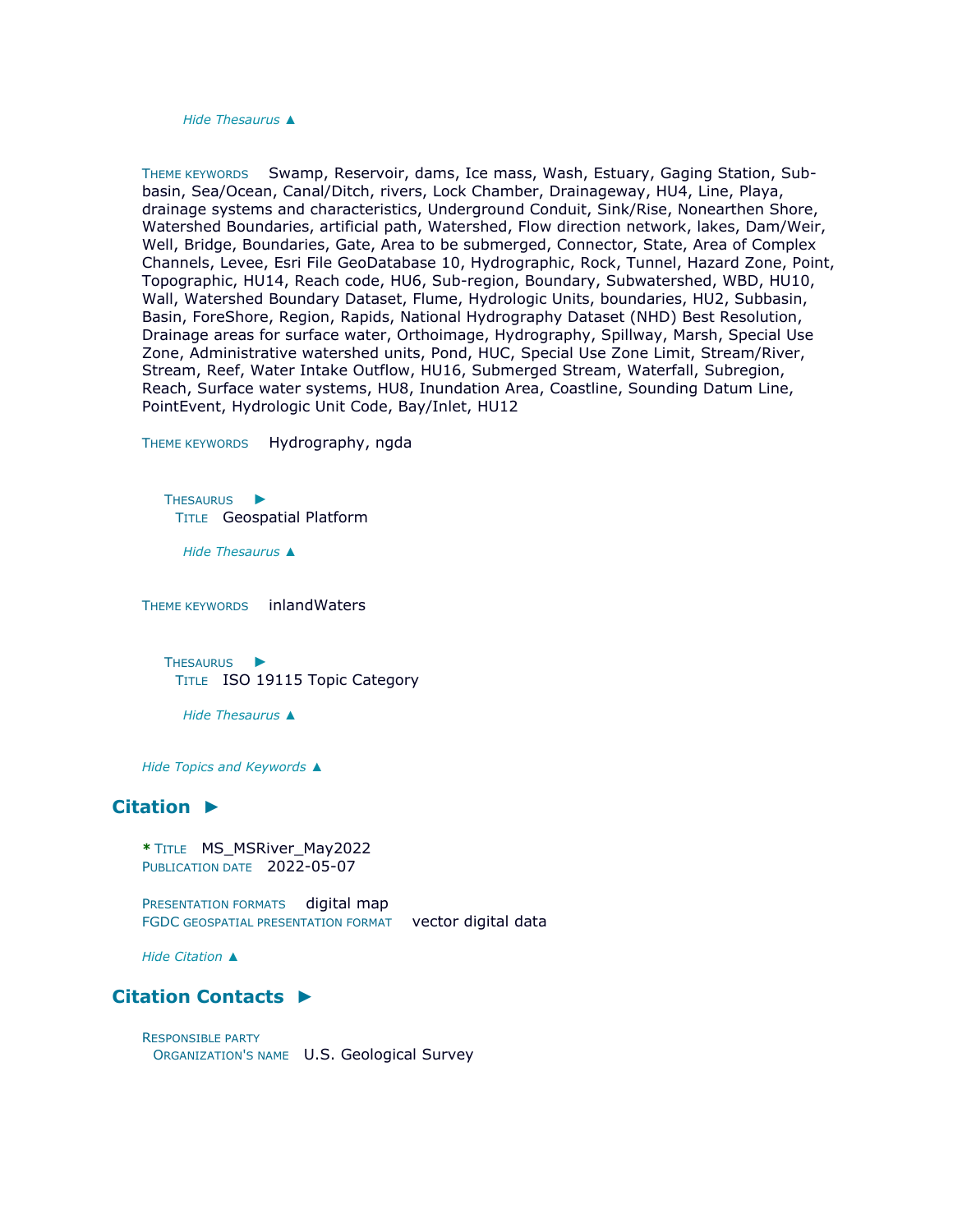*Hide [Thesaurus](file:///C:/Users/swalker/AppData/Local/Temp/arcA846/tmpFAD.tmp.htm%23ID0EA0YE0QHA) [▲](file:///C:/Users/swalker/AppData/Local/Temp/arcA846/tmpFAD.tmp.htm%23ID0EA0YE0QHA)*

THEME KEYWORDS Swamp, Reservoir, dams, Ice mass, Wash, Estuary, Gaging Station, Subbasin, Sea/Ocean, Canal/Ditch, rivers, Lock Chamber, Drainageway, HU4, Line, Playa, drainage systems and characteristics, Underground Conduit, Sink/Rise, Nonearthen Shore, Watershed Boundaries, artificial path, Watershed, Flow direction network, lakes, Dam/Weir, Well, Bridge, Boundaries, Gate, Area to be submerged, Connector, State, Area of Complex Channels, Levee, Esri File GeoDatabase 10, Hydrographic, Rock, Tunnel, Hazard Zone, Point, Topographic, HU14, Reach code, HU6, Sub-region, Boundary, Subwatershed, WBD, HU10, Wall, Watershed Boundary Dataset, Flume, Hydrologic Units, boundaries, HU2, Subbasin, Basin, ForeShore, Region, Rapids, National Hydrography Dataset (NHD) Best Resolution, Drainage areas for surface water, Orthoimage, Hydrography, Spillway, Marsh, Special Use Zone, Administrative watershed units, Pond, HUC, Special Use Zone Limit, Stream/River, Stream, Reef, Water Intake Outflow, HU16, Submerged Stream, Waterfall, Subregion, Reach, Surface water systems, HU8, Inundation Area, Coastline, Sounding Datum Line, PointEvent, Hydrologic Unit Code, Bay/Inlet, HU12

THEME KEYWORDS Hydrography, ngda

T[HESAURUS](file:///C:/Users/swalker/AppData/Local/Temp/arcA846/tmpFAD.tmp.htm%23ID0EACOHA) ▶ TITLE Geospatial Platform

*Hide [Thesaurus](file:///C:/Users/swalker/AppData/Local/Temp/arcA846/tmpFAD.tmp.htm%23ID0EACOHA) [▲](file:///C:/Users/swalker/AppData/Local/Temp/arcA846/tmpFAD.tmp.htm%23ID0EACOHA)*

THEME KEYWORDS inlandWaters

T[HESAURUS](file:///C:/Users/swalker/AppData/Local/Temp/arcA846/tmpFAD.tmp.htm%23ID0EABNHA) ▶ TITLE ISO 19115 Topic Category

*Hide [Thesaurus](file:///C:/Users/swalker/AppData/Local/Temp/arcA846/tmpFAD.tmp.htm%23ID0EABNHA) [▲](file:///C:/Users/swalker/AppData/Local/Temp/arcA846/tmpFAD.tmp.htm%23ID0EABNHA)*

*Hide [Topics and Keywords](file:///C:/Users/swalker/AppData/Local/Temp/arcA846/tmpFAD.tmp.htm%23true) [▲](file:///C:/Users/swalker/AppData/Local/Temp/arcA846/tmpFAD.tmp.htm%23true)*

# **[Citation](file:///C:/Users/swalker/AppData/Local/Temp/arcA846/tmpFAD.tmp.htm%23ID0EWHA) [►](file:///C:/Users/swalker/AppData/Local/Temp/arcA846/tmpFAD.tmp.htm%23ID0EWHA)**

```
* TITLE MS_MSRiver_May2022 
PUBLICATION DATE 2022-05-07
```
PRESENTATION FORMATS digital map FGDC GEOSPATIAL PRESENTATION FORMAT vector digital data

*Hide [Citation](file:///C:/Users/swalker/AppData/Local/Temp/arcA846/tmpFAD.tmp.htm%23ID0EWHA) [▲](file:///C:/Users/swalker/AppData/Local/Temp/arcA846/tmpFAD.tmp.htm%23ID0EWHA)*

## **[Citation Contacts](file:///C:/Users/swalker/AppData/Local/Temp/arcA846/tmpFAD.tmp.htm%23ID0EDWHA) [►](file:///C:/Users/swalker/AppData/Local/Temp/arcA846/tmpFAD.tmp.htm%23ID0EDWHA)**

RESPONSIBLE PARTY ORGANIZATION'S NAME U.S. Geological Survey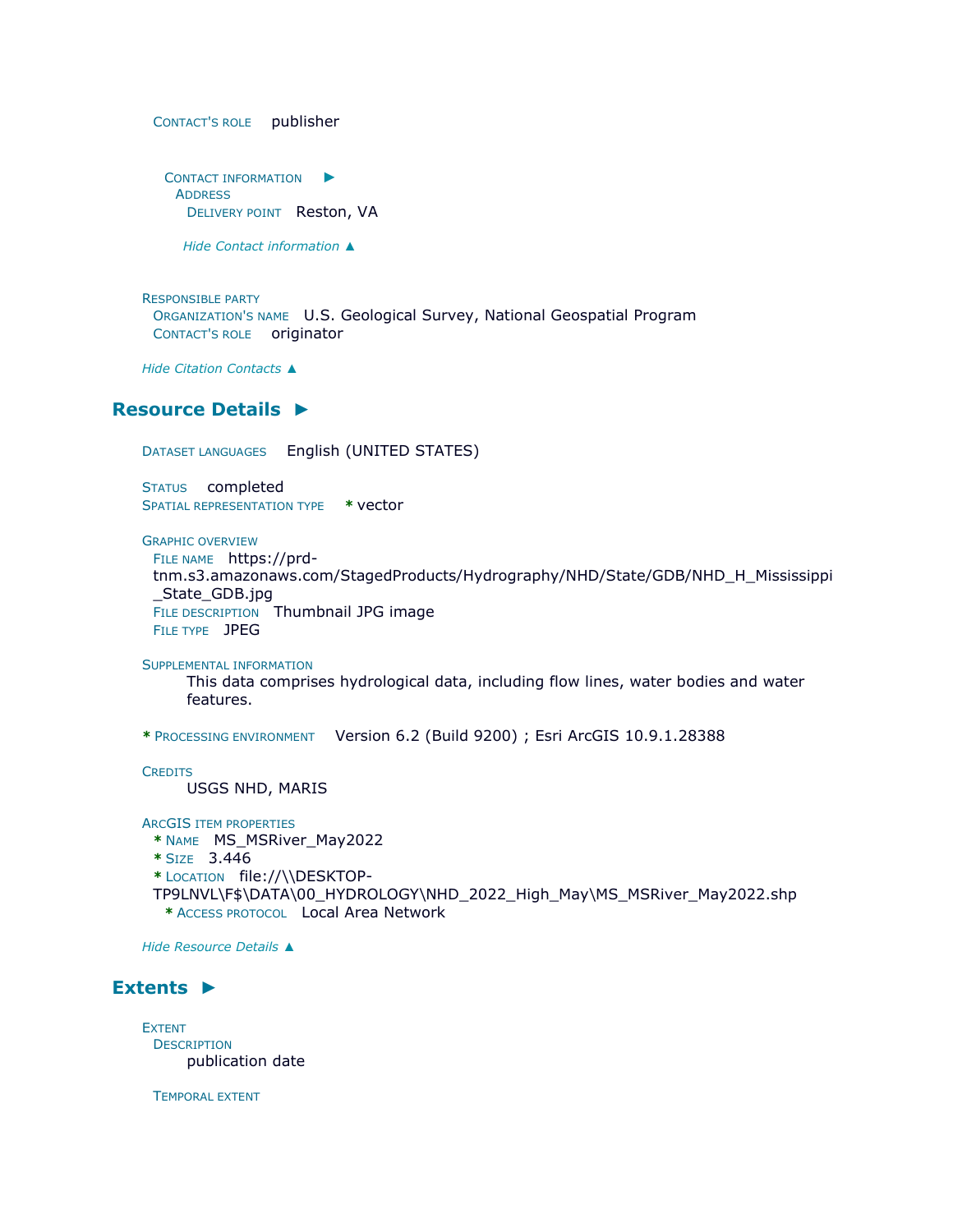CONTACT'S ROLE publisher

C[ONTACT INFORMATION](file:///C:/Users/swalker/AppData/Local/Temp/arcA846/tmpFAD.tmp.htm%23ID0EBDWHA)  $\blacktriangleright$ **ADDRESS** DELIVERY POINT Reston, VA

*Hide [Contact information](file:///C:/Users/swalker/AppData/Local/Temp/arcA846/tmpFAD.tmp.htm%23ID0EBDWHA) [▲](file:///C:/Users/swalker/AppData/Local/Temp/arcA846/tmpFAD.tmp.htm%23ID0EBDWHA)*

RESPONSIBLE PARTY ORGANIZATION'S NAME U.S. Geological Survey, National Geospatial Program CONTACT'S ROLE originator

*Hide [Citation Contacts](file:///C:/Users/swalker/AppData/Local/Temp/arcA846/tmpFAD.tmp.htm%23ID0EDWHA) [▲](file:///C:/Users/swalker/AppData/Local/Temp/arcA846/tmpFAD.tmp.htm%23ID0EDWHA)*

## **[Resource](file:///C:/Users/swalker/AppData/Local/Temp/arcA846/tmpFAD.tmp.htm%23ID0EEBHRA) Details [►](file:///C:/Users/swalker/AppData/Local/Temp/arcA846/tmpFAD.tmp.htm%23ID0EEBHRA)**

DATASET LANGUAGES English (UNITED STATES)

STATUS completed SPATIAL REPRESENTATION TYPE **\*** vector

GRAPHIC OVERVIEW

FILE NAME https://prd-

tnm.s3.amazonaws.com/StagedProducts/Hydrography/NHD/State/GDB/NHD\_H\_Mississippi \_State\_GDB.jpg FILE DESCRIPTION Thumbnail JPG image FILE TYPE JPEG

SUPPLEMENTAL INFORMATION

This data comprises hydrological data, including flow lines, water bodies and water features.

**\*** PROCESSING ENVIRONMENT Version 6.2 (Build 9200) ; Esri ArcGIS 10.9.1.28388

**CREDITS** USGS NHD, MARIS

ARCGIS ITEM PROPERTIES

**\*** NAME MS\_MSRiver\_May2022

**\*** SIZE 3.446

**\*** LOCATION file://\\DESKTOP-

TP9LNVL\F\$\DATA\00\_HYDROLOGY\NHD\_2022\_High\_May\MS\_MSRiver\_May2022.shp **\*** ACCESS PROTOCOL Local Area Network

*Hide [Resource Details](file:///C:/Users/swalker/AppData/Local/Temp/arcA846/tmpFAD.tmp.htm%23ID0EEBHRA) [▲](file:///C:/Users/swalker/AppData/Local/Temp/arcA846/tmpFAD.tmp.htm%23ID0EEBHRA)*

# **[Extents](file:///C:/Users/swalker/AppData/Local/Temp/arcA846/tmpFAD.tmp.htm%23ID0EECBHRA) [►](file:///C:/Users/swalker/AppData/Local/Temp/arcA846/tmpFAD.tmp.htm%23ID0EECBHRA)**

EXTENT **DESCRIPTION** publication date

TEMPORAL EXTENT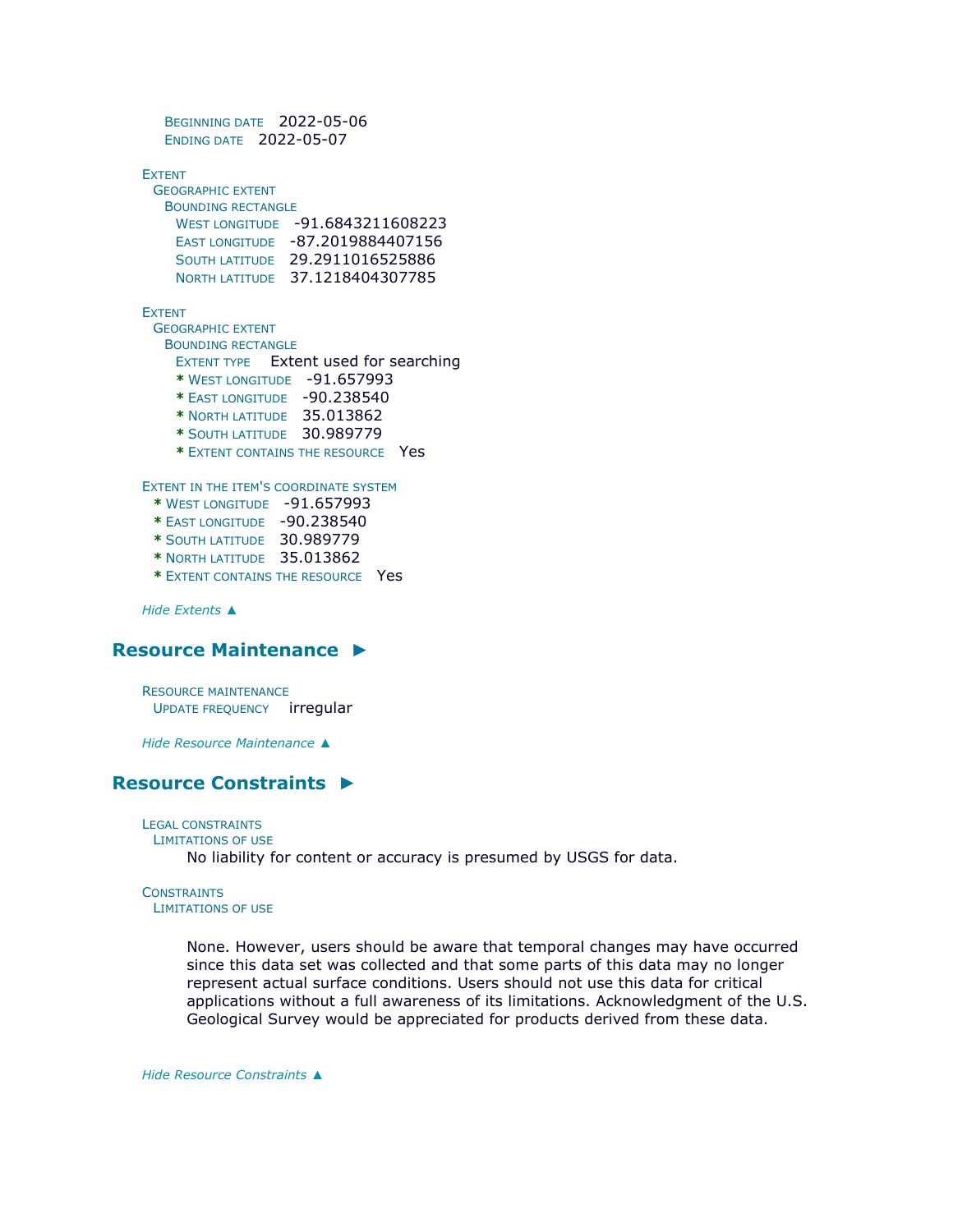```
BEGINNING DATE 2022-05-06 
  ENDING DATE 2022-05-07
EXTENT
 GEOGRAPHIC EXTENT
  BOUNDING RECTANGLE
    WEST LONGITUDE -91.6843211608223 
    EAST LONGITUDE -87.2019884407156 
    SOUTH LATITUDE 29.2911016525886 
    NORTH LATITUDE 37.1218404307785
EXTENT
 GEOGRAPHIC EXTENT
  BOUNDING RECTANGLE
    EXTENT TYPE Extent used for searching 
    * WEST LONGITUDE -91.657993 
    * EAST LONGITUDE -90.238540 
    * NORTH LATITUDE 35.013862 
    * SOUTH LATITUDE 30.989779 
    * EXTENT CONTAINS THE RESOURCE Yes
EXTENT IN THE ITEM'S COORDINATE SYSTEM
 * WEST LONGITUDE -91.657993 
 * EAST LONGITUDE -90.238540 
 * SOUTH LATITUDE 30.989779 
 * NORTH LATITUDE 35.013862 
 * EXTENT CONTAINS THE RESOURCE Yes
```
*Hide [Extents](file:///C:/Users/swalker/AppData/Local/Temp/arcA846/tmpFAD.tmp.htm%23ID0EECBHRA) [▲](file:///C:/Users/swalker/AppData/Local/Temp/arcA846/tmpFAD.tmp.htm%23ID0EECBHRA)*

# **[Resource Maintenance](file:///C:/Users/swalker/AppData/Local/Temp/arcA846/tmpFAD.tmp.htm%23ID0ESHA) [►](file:///C:/Users/swalker/AppData/Local/Temp/arcA846/tmpFAD.tmp.htm%23ID0ESHA)**

RESOURCE MAINTENANCE UPDATE FREQUENCY irregular

*Hide [Resource Maintenance](file:///C:/Users/swalker/AppData/Local/Temp/arcA846/tmpFAD.tmp.htm%23ID0ESHA) [▲](file:///C:/Users/swalker/AppData/Local/Temp/arcA846/tmpFAD.tmp.htm%23ID0ESHA)*

# **[Resource Constraints](file:///C:/Users/swalker/AppData/Local/Temp/arcA846/tmpFAD.tmp.htm%23ID0ELHA) [►](file:///C:/Users/swalker/AppData/Local/Temp/arcA846/tmpFAD.tmp.htm%23ID0ELHA)**

LEGAL CONSTRAINTS

```
LIMITATIONS OF USE
```
No liability for content or accuracy is presumed by USGS for data.

# **CONSTRAINTS**

LIMITATIONS OF USE

None. However, users should be aware that temporal changes may have occurred since this data set was collected and that some parts of this data may no longer represent actual surface conditions. Users should not use this data for critical applications without a full awareness of its limitations. Acknowledgment of the U.S. Geological Survey would be appreciated for products derived from these data.

*Hide [Resource Constraints](file:///C:/Users/swalker/AppData/Local/Temp/arcA846/tmpFAD.tmp.htm%23ID0ELHA) [▲](file:///C:/Users/swalker/AppData/Local/Temp/arcA846/tmpFAD.tmp.htm%23ID0ELHA)*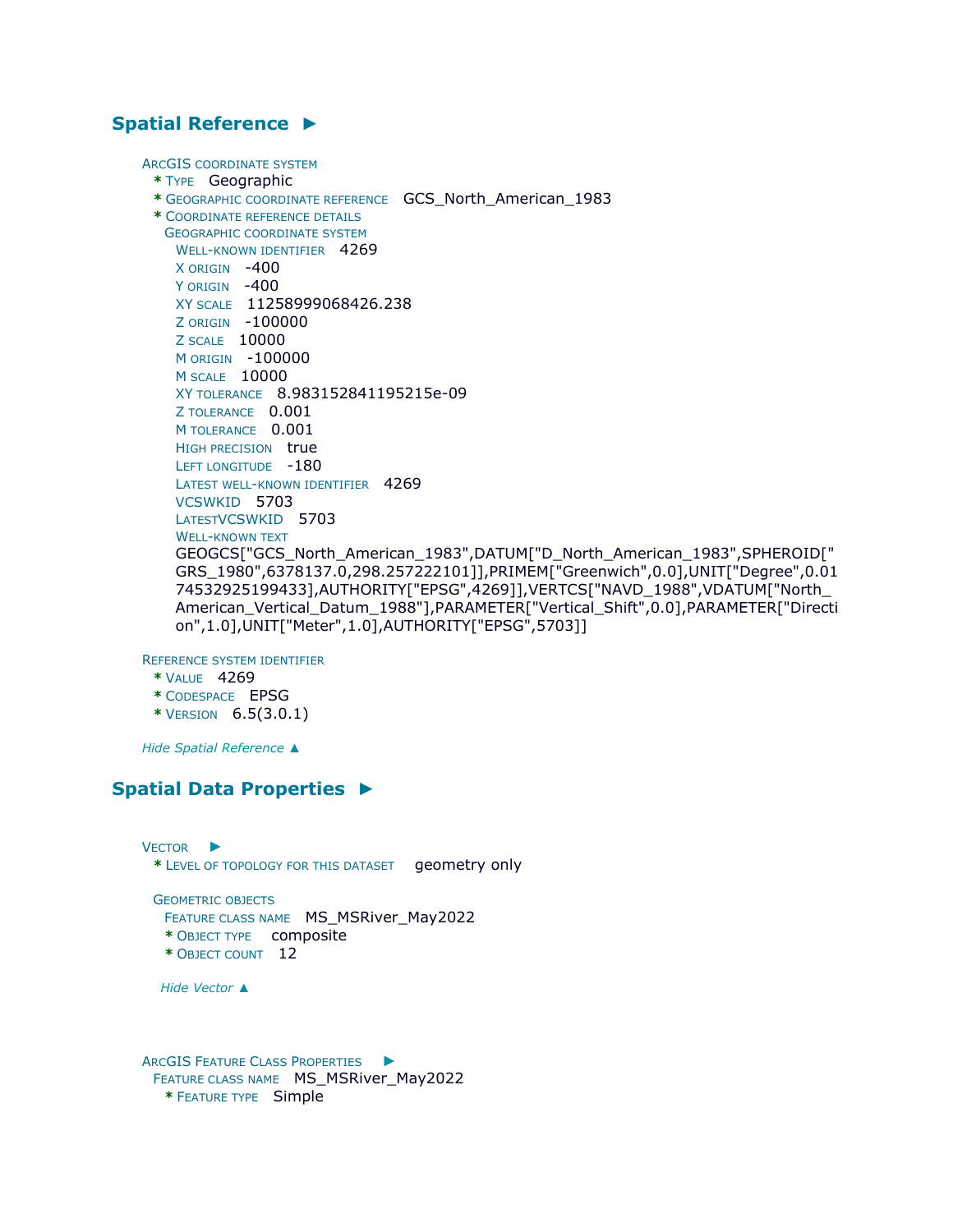## **[Spatial Reference](file:///C:/Users/swalker/AppData/Local/Temp/arcA846/tmpFAD.tmp.htm%23ID0EDAHRA) [►](file:///C:/Users/swalker/AppData/Local/Temp/arcA846/tmpFAD.tmp.htm%23ID0EDAHRA)**

ARCGIS COORDINATE SYSTEM

```
* TYPE Geographic
```
- **\*** GEOGRAPHIC COORDINATE REFERENCE GCS\_North\_American\_1983
- **\*** COORDINATE REFERENCE DETAILS

```
GEOGRAPHIC COORDINATE SYSTEM
 WELL-KNOWN IDENTIFIER 4269
 X ORIGIN -400 
 Y ORIGIN -400
 XY SCALE 11258999068426.238 
 Z ORIGIN -100000 
 Z SCALE 10000 
 M ORIGIN -100000 
 M SCALE 10000 
 XY TOLERANCE 8.983152841195215e-09 
 Z TOLERANCE 0.001 
 M TOLERANCE 0.001
 HIGH PRECISION true 
 LEFT LONGITUDE -180
 LATEST WELL-KNOWN IDENTIFIER 4269
 VCSWKID 5703 
 LATESTVCSWKID 5703 
 WELL-KNOWN TEXT
 GEOGCS["GCS_North_American_1983",DATUM["D_North_American_1983",SPHEROID["
 GRS_1980",6378137.0,298.257222101]],PRIMEM["Greenwich",0.0],UNIT["Degree",0.01
 74532925199433],AUTHORITY["EPSG",4269]],VERTCS["NAVD_1988",VDATUM["North_
 American_Vertical_Datum_1988"],PARAMETER["Vertical_Shift",0.0],PARAMETER["Directi
 on",1.0],UNIT["Meter",1.0],AUTHORITY["EPSG",5703]]
```
REFERENCE SYSTEM IDENTIFIER

- **\*** VALUE 4269
- **\*** CODESPACE EPSG
- **\*** VERSION 6.5(3.0.1)

*Hide [Spatial Reference](file:///C:/Users/swalker/AppData/Local/Temp/arcA846/tmpFAD.tmp.htm%23ID0EDAHRA) [▲](file:///C:/Users/swalker/AppData/Local/Temp/arcA846/tmpFAD.tmp.htm%23ID0EDAHRA)*

# **[Spatial Data Properties](file:///C:/Users/swalker/AppData/Local/Temp/arcA846/tmpFAD.tmp.htm%23ID0EABA) [►](file:///C:/Users/swalker/AppData/Local/Temp/arcA846/tmpFAD.tmp.htm%23ID0EABA)**

V[ECTOR](file:///C:/Users/swalker/AppData/Local/Temp/arcA846/tmpFAD.tmp.htm%23ID0EBABA) ► **\*** LEVEL OF TOPOLOGY FOR THIS DATASET geometry only

GEOMETRIC OBJECTS FEATURE CLASS NAME MS\_MSRiver\_May2022 **\*** OBJECT TYPE composite

**\*** OBJECT COUNT 12

*Hide [Vector](file:///C:/Users/swalker/AppData/Local/Temp/arcA846/tmpFAD.tmp.htm%23ID0EBABA) [▲](file:///C:/Users/swalker/AppData/Local/Temp/arcA846/tmpFAD.tmp.htm%23ID0EBABA)*

ARCGIS FEATURE CLASS P[ROPERTIES](file:///C:/Users/swalker/AppData/Local/Temp/arcA846/tmpFAD.tmp.htm%23ID0EA) ► FEATURE CLASS NAME MS\_MSRiver\_May2022 **\*** FEATURE TYPE Simple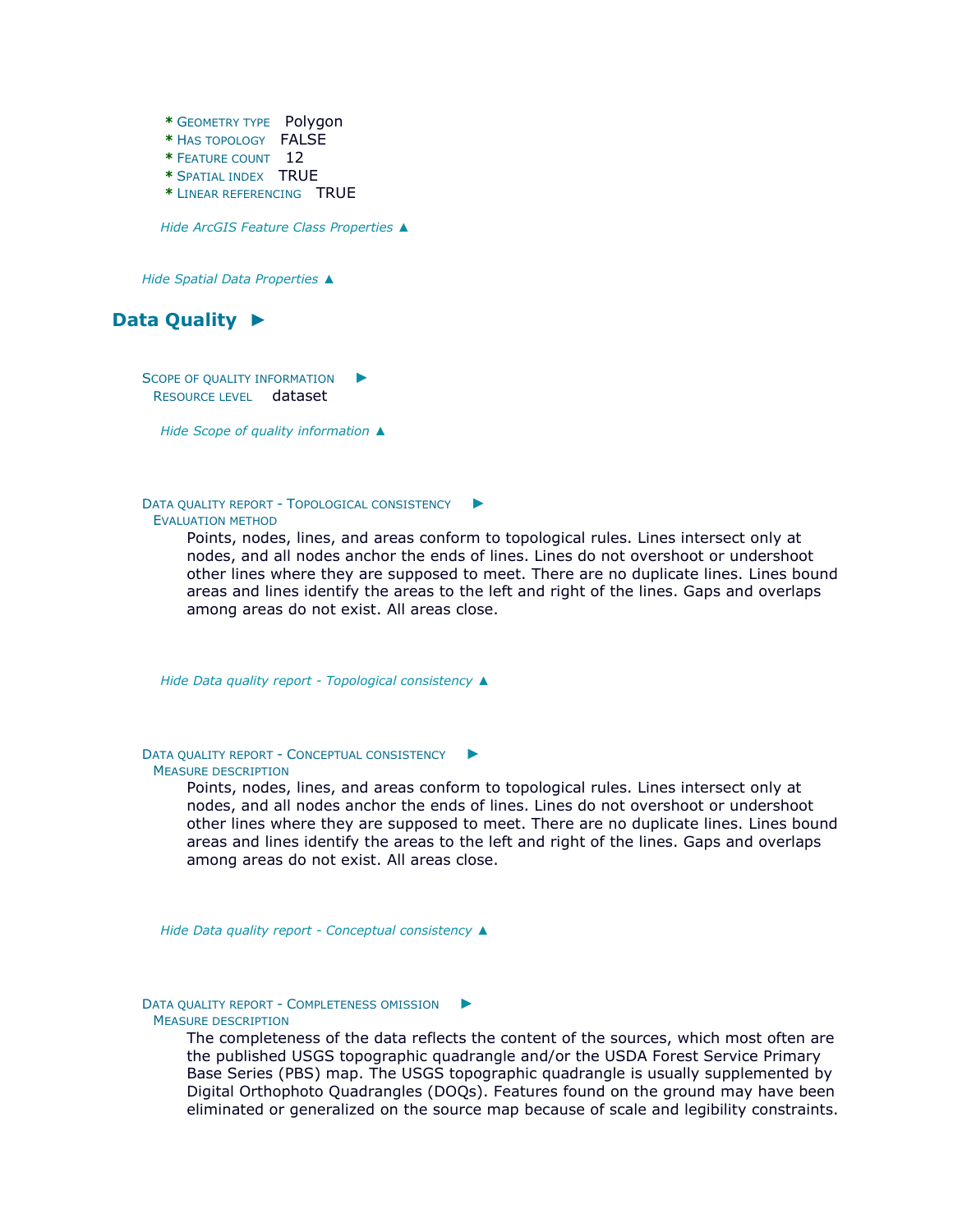**\*** GEOMETRY TYPE Polygon **\*** HAS TOPOLOGY FALSE **\*** FEATURE COUNT 12 **\*** SPATIAL INDEX TRUE **\*** LINEAR REFERENCING TRUE

*Hide [ArcGIS Feature Class Properties](file:///C:/Users/swalker/AppData/Local/Temp/arcA846/tmpFAD.tmp.htm%23ID0EA) [▲](file:///C:/Users/swalker/AppData/Local/Temp/arcA846/tmpFAD.tmp.htm%23ID0EA)*

*Hide [Spatial Data Properties](file:///C:/Users/swalker/AppData/Local/Temp/arcA846/tmpFAD.tmp.htm%23ID0EABA) [▲](file:///C:/Users/swalker/AppData/Local/Temp/arcA846/tmpFAD.tmp.htm%23ID0EABA)*



S[COPE OF QUALITY INFORMATION](file:///C:/Users/swalker/AppData/Local/Temp/arcA846/tmpFAD.tmp.htm%23ID0EAHFA)  $\blacktriangleright$ RESOURCE LEVEL dataset

*Hide [Scope of quality information](file:///C:/Users/swalker/AppData/Local/Temp/arcA846/tmpFAD.tmp.htm%23ID0EAHFA) [▲](file:///C:/Users/swalker/AppData/Local/Temp/arcA846/tmpFAD.tmp.htm%23ID0EAHFA)*

DATA QUALITY REPORT - T[OPOLOGICAL CONSISTENCY](file:///C:/Users/swalker/AppData/Local/Temp/arcA846/tmpFAD.tmp.htm%23ID0EGFA) ► EVALUATION METHOD

> Points, nodes, lines, and areas conform to topological rules. Lines intersect only at nodes, and all nodes anchor the ends of lines. Lines do not overshoot or undershoot other lines where they are supposed to meet. There are no duplicate lines. Lines bound areas and lines identify the areas to the left and right of the lines. Gaps and overlaps among areas do not exist. All areas close.

*Hide Data quality report - [Topological consistency](file:///C:/Users/swalker/AppData/Local/Temp/arcA846/tmpFAD.tmp.htm%23ID0EGFA) [▲](file:///C:/Users/swalker/AppData/Local/Temp/arcA846/tmpFAD.tmp.htm%23ID0EGFA)*

DATA QUALITY REPORT - C[ONCEPTUAL CONSISTENCY](file:///C:/Users/swalker/AppData/Local/Temp/arcA846/tmpFAD.tmp.htm%23ID0EFFA) ► MEASURE DESCRIPTION

> Points, nodes, lines, and areas conform to topological rules. Lines intersect only at nodes, and all nodes anchor the ends of lines. Lines do not overshoot or undershoot other lines where they are supposed to meet. There are no duplicate lines. Lines bound areas and lines identify the areas to the left and right of the lines. Gaps and overlaps among areas do not exist. All areas close.

*Hide Data quality report - [Conceptual consistency](file:///C:/Users/swalker/AppData/Local/Temp/arcA846/tmpFAD.tmp.htm%23ID0EFFA) [▲](file:///C:/Users/swalker/AppData/Local/Temp/arcA846/tmpFAD.tmp.htm%23ID0EFFA)*

#### DATA QUALITY REPORT - C[OMPLETENESS OMISSION](file:///C:/Users/swalker/AppData/Local/Temp/arcA846/tmpFAD.tmp.htm%23ID0EEFA) MEASURE DESCRIPTION

The completeness of the data reflects the content of the sources, which most often are the published USGS topographic quadrangle and/or the USDA Forest Service Primary Base Series (PBS) map. The USGS topographic quadrangle is usually supplemented by Digital Orthophoto Quadrangles (DOQs). Features found on the ground may have been eliminated or generalized on the source map because of scale and legibility constraints.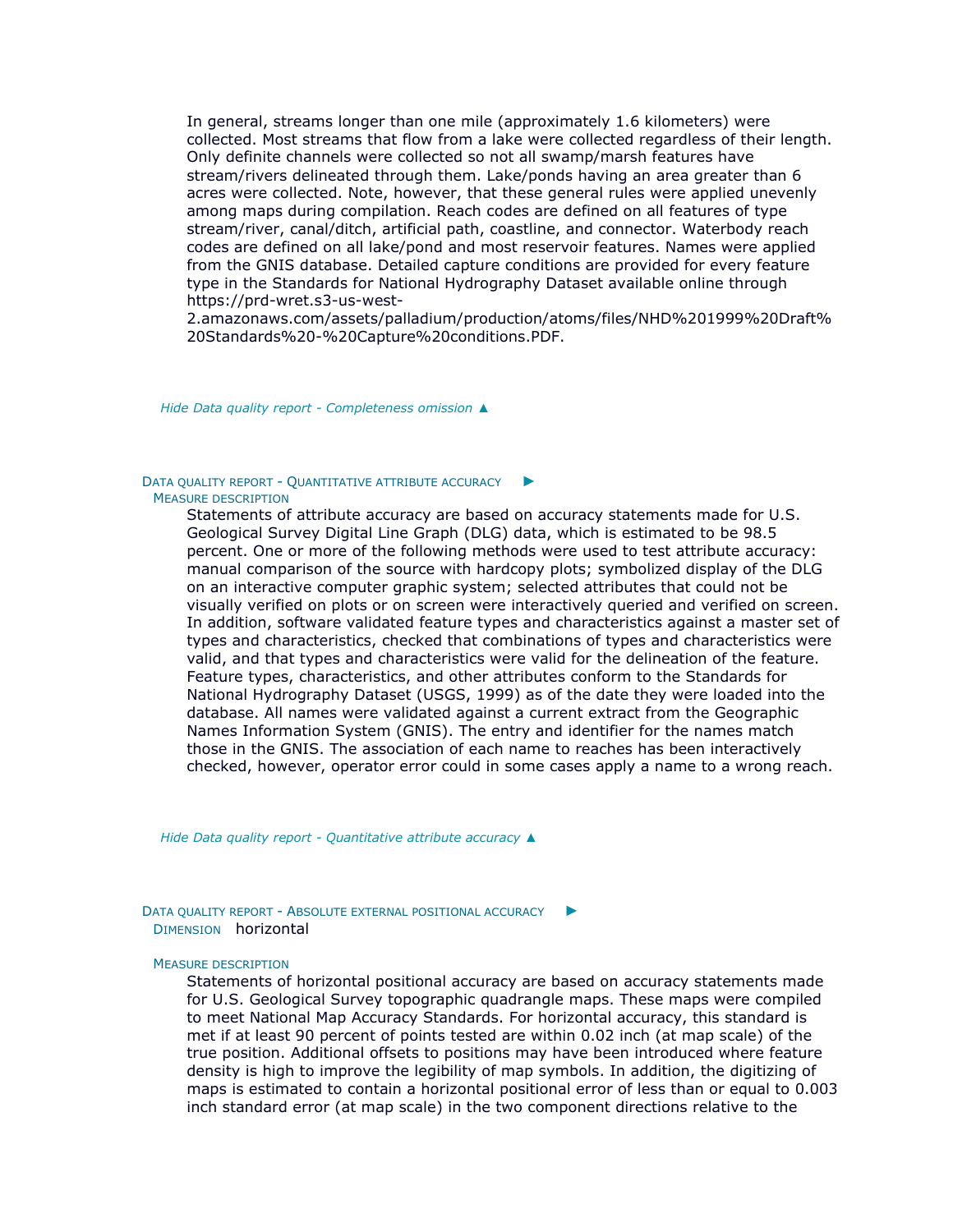In general, streams longer than one mile (approximately 1.6 kilometers) were collected. Most streams that flow from a lake were collected regardless of their length. Only definite channels were collected so not all swamp/marsh features have stream/rivers delineated through them. Lake/ponds having an area greater than 6 acres were collected. Note, however, that these general rules were applied unevenly among maps during compilation. Reach codes are defined on all features of type stream/river, canal/ditch, artificial path, coastline, and connector. Waterbody reach codes are defined on all lake/pond and most reservoir features. Names were applied from the GNIS database. Detailed capture conditions are provided for every feature type in the Standards for National Hydrography Dataset available online through https://prd-wret.s3-us-west-

2.amazonaws.com/assets/palladium/production/atoms/files/NHD%201999%20Draft% 20Standards%20-%20Capture%20conditions.PDF.

*Hide Data quality report - [Completeness omission](file:///C:/Users/swalker/AppData/Local/Temp/arcA846/tmpFAD.tmp.htm%23ID0EEFA) [▲](file:///C:/Users/swalker/AppData/Local/Temp/arcA846/tmpFAD.tmp.htm%23ID0EEFA)*

#### DATA QUALITY REPORT - Q[UANTITATIVE ATTRIBUTE ACCURACY](file:///C:/Users/swalker/AppData/Local/Temp/arcA846/tmpFAD.tmp.htm%23ID0EDFA) ► MEASURE DESCRIPTION

Statements of attribute accuracy are based on accuracy statements made for U.S. Geological Survey Digital Line Graph (DLG) data, which is estimated to be 98.5 percent. One or more of the following methods were used to test attribute accuracy: manual comparison of the source with hardcopy plots; symbolized display of the DLG on an interactive computer graphic system; selected attributes that could not be visually verified on plots or on screen were interactively queried and verified on screen. In addition, software validated feature types and characteristics against a master set of types and characteristics, checked that combinations of types and characteristics were valid, and that types and characteristics were valid for the delineation of the feature. Feature types, characteristics, and other attributes conform to the Standards for National Hydrography Dataset (USGS, 1999) as of the date they were loaded into the database. All names were validated against a current extract from the Geographic Names Information System (GNIS). The entry and identifier for the names match those in the GNIS. The association of each name to reaches has been interactively checked, however, operator error could in some cases apply a name to a wrong reach.

*Hide Data quality report - [Quantitative attribute accuracy](file:///C:/Users/swalker/AppData/Local/Temp/arcA846/tmpFAD.tmp.htm%23ID0EDFA) [▲](file:///C:/Users/swalker/AppData/Local/Temp/arcA846/tmpFAD.tmp.htm%23ID0EDFA)*

DATA QUALITY REPORT - A[BSOLUTE EXTERNAL POSITIONAL ACCURACY](file:///C:/Users/swalker/AppData/Local/Temp/arcA846/tmpFAD.tmp.htm%23ID0ECFA) ► DIMENSION horizontal

#### MEASURE DESCRIPTION

Statements of horizontal positional accuracy are based on accuracy statements made for U.S. Geological Survey topographic quadrangle maps. These maps were compiled to meet National Map Accuracy Standards. For horizontal accuracy, this standard is met if at least 90 percent of points tested are within 0.02 inch (at map scale) of the true position. Additional offsets to positions may have been introduced where feature density is high to improve the legibility of map symbols. In addition, the digitizing of maps is estimated to contain a horizontal positional error of less than or equal to 0.003 inch standard error (at map scale) in the two component directions relative to the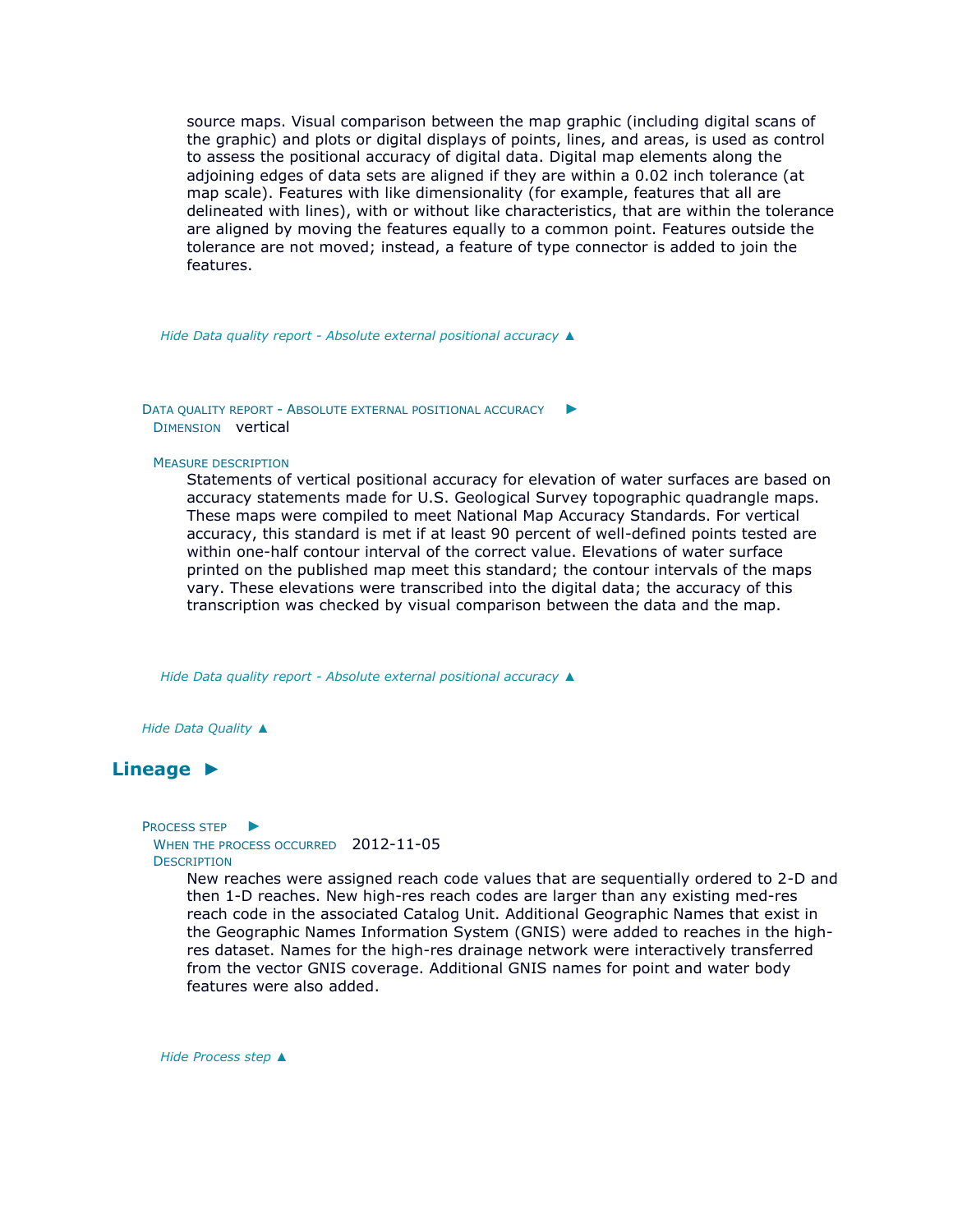source maps. Visual comparison between the map graphic (including digital scans of the graphic) and plots or digital displays of points, lines, and areas, is used as control to assess the positional accuracy of digital data. Digital map elements along the adjoining edges of data sets are aligned if they are within a 0.02 inch tolerance (at map scale). Features with like dimensionality (for example, features that all are delineated with lines), with or without like characteristics, that are within the tolerance are aligned by moving the features equally to a common point. Features outside the tolerance are not moved; instead, a feature of type connector is added to join the features.

*Hide Data quality report - [Absolute external positional accuracy](file:///C:/Users/swalker/AppData/Local/Temp/arcA846/tmpFAD.tmp.htm%23ID0ECFA) [▲](file:///C:/Users/swalker/AppData/Local/Temp/arcA846/tmpFAD.tmp.htm%23ID0ECFA)*

DATA QUALITY REPORT - A[BSOLUTE EXTERNAL POSITIONAL ACCURACY](file:///C:/Users/swalker/AppData/Local/Temp/arcA846/tmpFAD.tmp.htm%23ID0EBFA) ► DIMENSION vertical

#### MEASURE DESCRIPTION

Statements of vertical positional accuracy for elevation of water surfaces are based on accuracy statements made for U.S. Geological Survey topographic quadrangle maps. These maps were compiled to meet National Map Accuracy Standards. For vertical accuracy, this standard is met if at least 90 percent of well-defined points tested are within one-half contour interval of the correct value. Elevations of water surface printed on the published map meet this standard; the contour intervals of the maps vary. These elevations were transcribed into the digital data; the accuracy of this transcription was checked by visual comparison between the data and the map.

*Hide Data quality report - [Absolute external positional accuracy](file:///C:/Users/swalker/AppData/Local/Temp/arcA846/tmpFAD.tmp.htm%23ID0EBFA) [▲](file:///C:/Users/swalker/AppData/Local/Temp/arcA846/tmpFAD.tmp.htm%23ID0EBFA)*

*Hide [Data Quality](file:///C:/Users/swalker/AppData/Local/Temp/arcA846/tmpFAD.tmp.htm%23ID0EAHFA) [▲](file:///C:/Users/swalker/AppData/Local/Temp/arcA846/tmpFAD.tmp.htm%23ID0EAHFA)*

## **[Lineage](file:///C:/Users/swalker/AppData/Local/Temp/arcA846/tmpFAD.tmp.htm%23ID0EAFA) [►](file:///C:/Users/swalker/AppData/Local/Temp/arcA846/tmpFAD.tmp.htm%23ID0EAFA)**

P[ROCESS STEP](file:///C:/Users/swalker/AppData/Local/Temp/arcA846/tmpFAD.tmp.htm%23ID0EBAAFA) ▶ WHEN THE PROCESS OCCURRED 2012-11-05 **DESCRIPTION** 

> New reaches were assigned reach code values that are sequentially ordered to 2-D and then 1-D reaches. New high-res reach codes are larger than any existing med-res reach code in the associated Catalog Unit. Additional Geographic Names that exist in the Geographic Names Information System (GNIS) were added to reaches in the highres dataset. Names for the high-res drainage network were interactively transferred from the vector GNIS coverage. Additional GNIS names for point and water body features were also added.

*Hide [Process step](file:///C:/Users/swalker/AppData/Local/Temp/arcA846/tmpFAD.tmp.htm%23ID0EBAAFA) [▲](file:///C:/Users/swalker/AppData/Local/Temp/arcA846/tmpFAD.tmp.htm%23ID0EBAAFA)*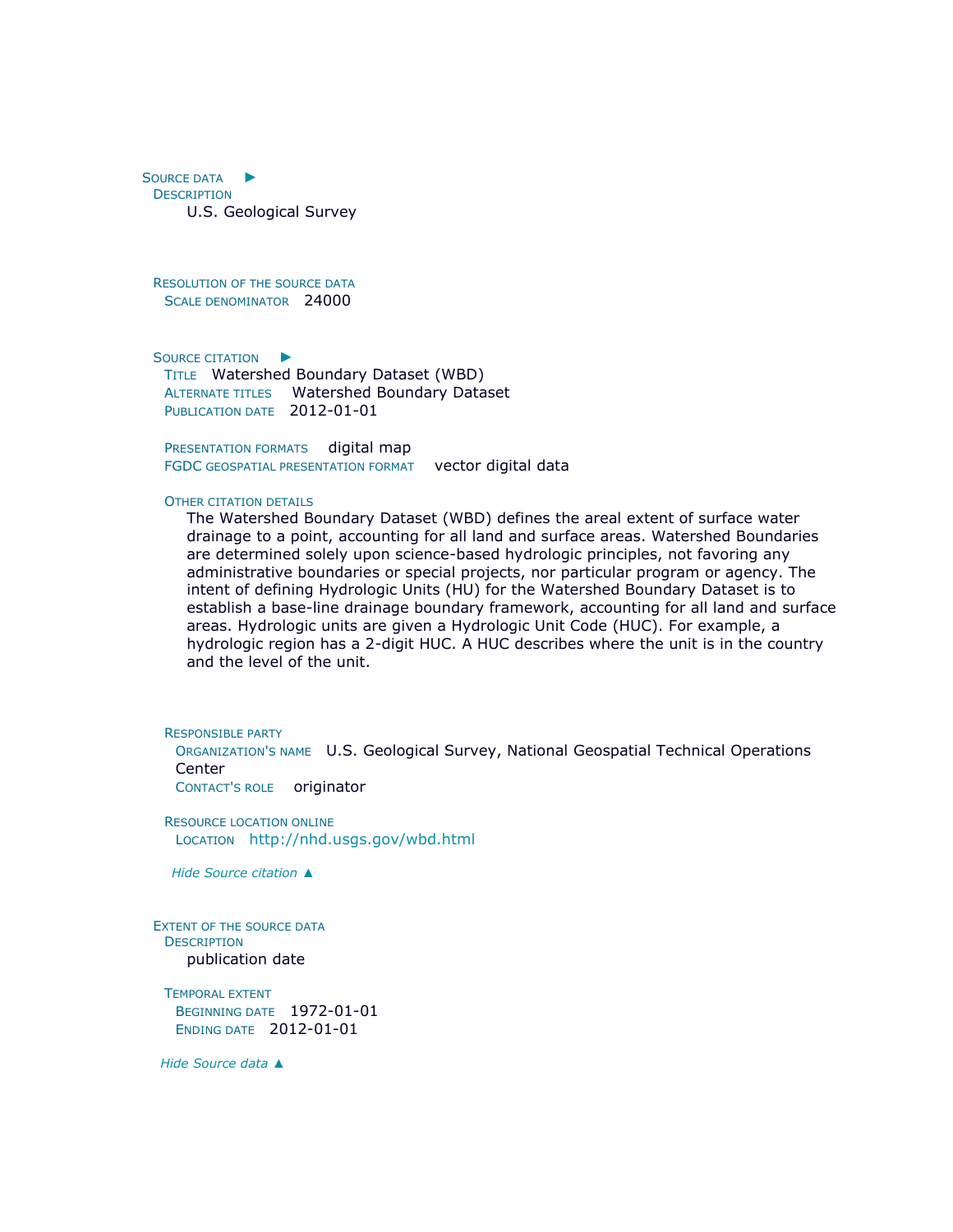S[OURCE DATA](file:///C:/Users/swalker/AppData/Local/Temp/arcA846/tmpFAD.tmp.htm%23ID0EDDAFA) ► **DESCRIPTION** U.S. Geological Survey

RESOLUTION OF THE SOURCE DATA SCALE DENOMINATOR 24000

S[OURCE CITATION](file:///C:/Users/swalker/AppData/Local/Temp/arcA846/tmpFAD.tmp.htm%23ID0EHBDAFA) ►

TITLE Watershed Boundary Dataset (WBD) ALTERNATE TITLES Watershed Boundary Dataset PUBLICATION DATE 2012-01-01

PRESENTATION FORMATS digital map FGDC GEOSPATIAL PRESENTATION FORMAT vector digital data

#### OTHER CITATION DETAILS

The Watershed Boundary Dataset (WBD) defines the areal extent of surface water drainage to a point, accounting for all land and surface areas. Watershed Boundaries are determined solely upon science-based hydrologic principles, not favoring any administrative boundaries or special projects, nor particular program or agency. The intent of defining Hydrologic Units (HU) for the Watershed Boundary Dataset is to establish a base-line drainage boundary framework, accounting for all land and surface areas. Hydrologic units are given a Hydrologic Unit Code (HUC). For example, a hydrologic region has a 2-digit HUC. A HUC describes where the unit is in the country and the level of the unit.

RESPONSIBLE PARTY

ORGANIZATION'S NAME U.S. Geological Survey, National Geospatial Technical Operations **Center** 

CONTACT'S ROLE originator

RESOURCE LOCATION ONLINE LOCATION <http://nhd.usgs.gov/wbd.html>

*Hide [Source citation](file:///C:/Users/swalker/AppData/Local/Temp/arcA846/tmpFAD.tmp.htm%23ID0EHBDAFA) [▲](file:///C:/Users/swalker/AppData/Local/Temp/arcA846/tmpFAD.tmp.htm%23ID0EHBDAFA)*

EXTENT OF THE SOURCE DATA **DESCRIPTION** publication date

TEMPORAL EXTENT BEGINNING DATE 1972-01-01 ENDING DATE 2012-01-01

*Hide [Source data](file:///C:/Users/swalker/AppData/Local/Temp/arcA846/tmpFAD.tmp.htm%23ID0EDDAFA) [▲](file:///C:/Users/swalker/AppData/Local/Temp/arcA846/tmpFAD.tmp.htm%23ID0EDDAFA)*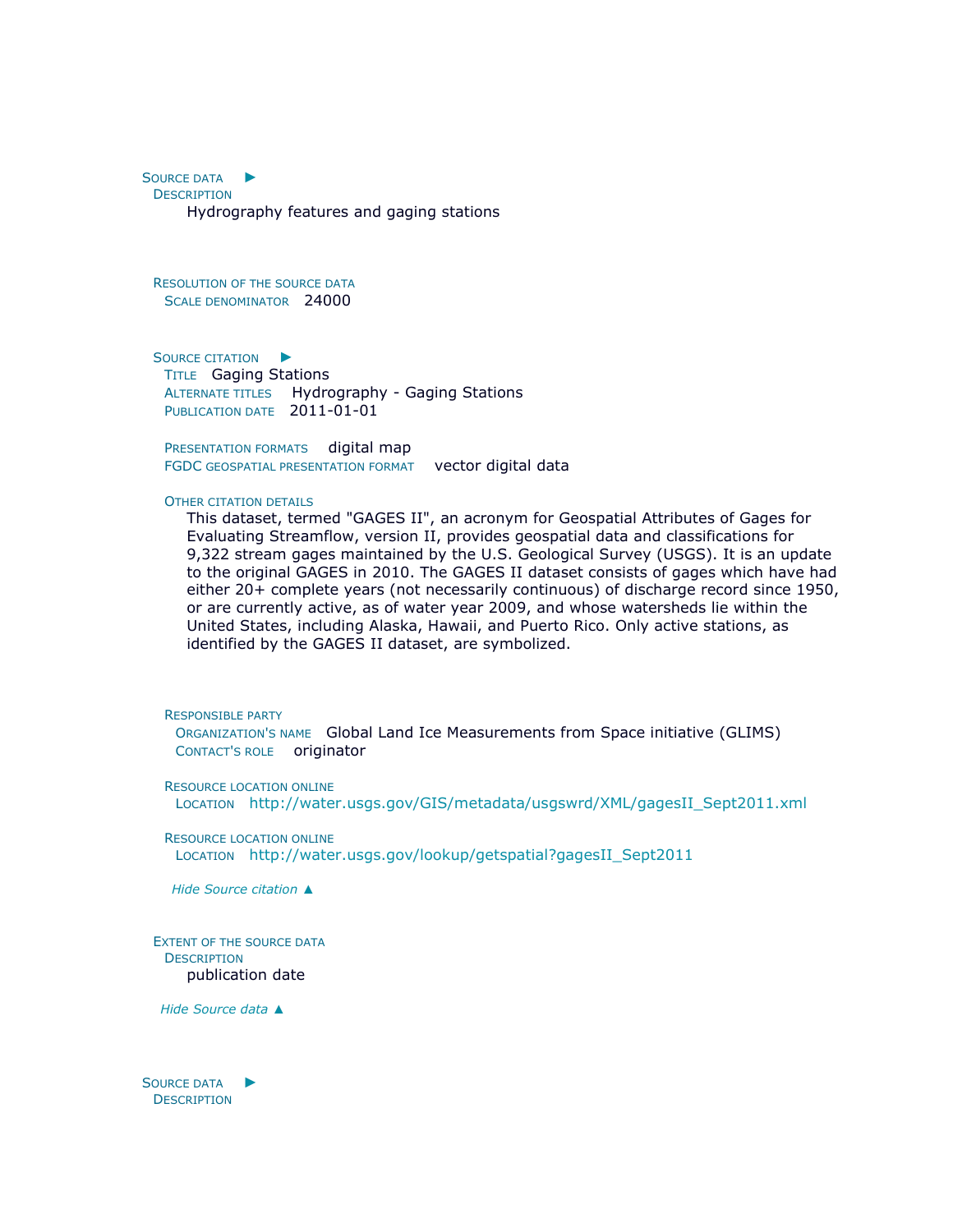S[OURCE DATA](file:///C:/Users/swalker/AppData/Local/Temp/arcA846/tmpFAD.tmp.htm%23ID0EDCAFA) ► **DESCRIPTION** Hydrography features and gaging stations

RESOLUTION OF THE SOURCE DATA SCALE DENOMINATOR 24000

S[OURCE CITATION](file:///C:/Users/swalker/AppData/Local/Temp/arcA846/tmpFAD.tmp.htm%23ID0EIBCAFA) ► TITLE Gaging Stations ALTERNATE TITLES Hydrography - Gaging Stations PUBLICATION DATE 2011-01-01

PRESENTATION FORMATS digital map FGDC GEOSPATIAL PRESENTATION FORMAT vector digital data

#### OTHER CITATION DETAILS

This dataset, termed "GAGES II", an acronym for Geospatial Attributes of Gages for Evaluating Streamflow, version II, provides geospatial data and classifications for 9,322 stream gages maintained by the U.S. Geological Survey (USGS). It is an update to the original GAGES in 2010. The GAGES II dataset consists of gages which have had either 20+ complete years (not necessarily continuous) of discharge record since 1950, or are currently active, as of water year 2009, and whose watersheds lie within the United States, including Alaska, Hawaii, and Puerto Rico. Only active stations, as identified by the GAGES II dataset, are symbolized.

RESPONSIBLE PARTY

ORGANIZATION'S NAME Global Land Ice Measurements from Space initiative (GLIMS) CONTACT'S ROLE originator

RESOURCE LOCATION ONLINE LOCATION [http://water.usgs.gov/GIS/metadata/usgswrd/XML/gagesII\\_Sept2011.xml](http://water.usgs.gov/GIS/metadata/usgswrd/XML/gagesII_Sept2011.xml)

RESOURCE LOCATION ONLINE LOCATION [http://water.usgs.gov/lookup/getspatial?gagesII\\_Sept2011](http://water.usgs.gov/lookup/getspatial?gagesII_Sept2011)

*Hide [Source citation](file:///C:/Users/swalker/AppData/Local/Temp/arcA846/tmpFAD.tmp.htm%23ID0EIBCAFA) [▲](file:///C:/Users/swalker/AppData/Local/Temp/arcA846/tmpFAD.tmp.htm%23ID0EIBCAFA)*

EXTENT OF THE SOURCE DATA **DESCRIPTION** publication date

*Hide [Source data](file:///C:/Users/swalker/AppData/Local/Temp/arcA846/tmpFAD.tmp.htm%23ID0EDCAFA) [▲](file:///C:/Users/swalker/AppData/Local/Temp/arcA846/tmpFAD.tmp.htm%23ID0EDCAFA)*

S[OURCE DATA](file:///C:/Users/swalker/AppData/Local/Temp/arcA846/tmpFAD.tmp.htm%23ID0EDBAFA) ▶ **DESCRIPTION**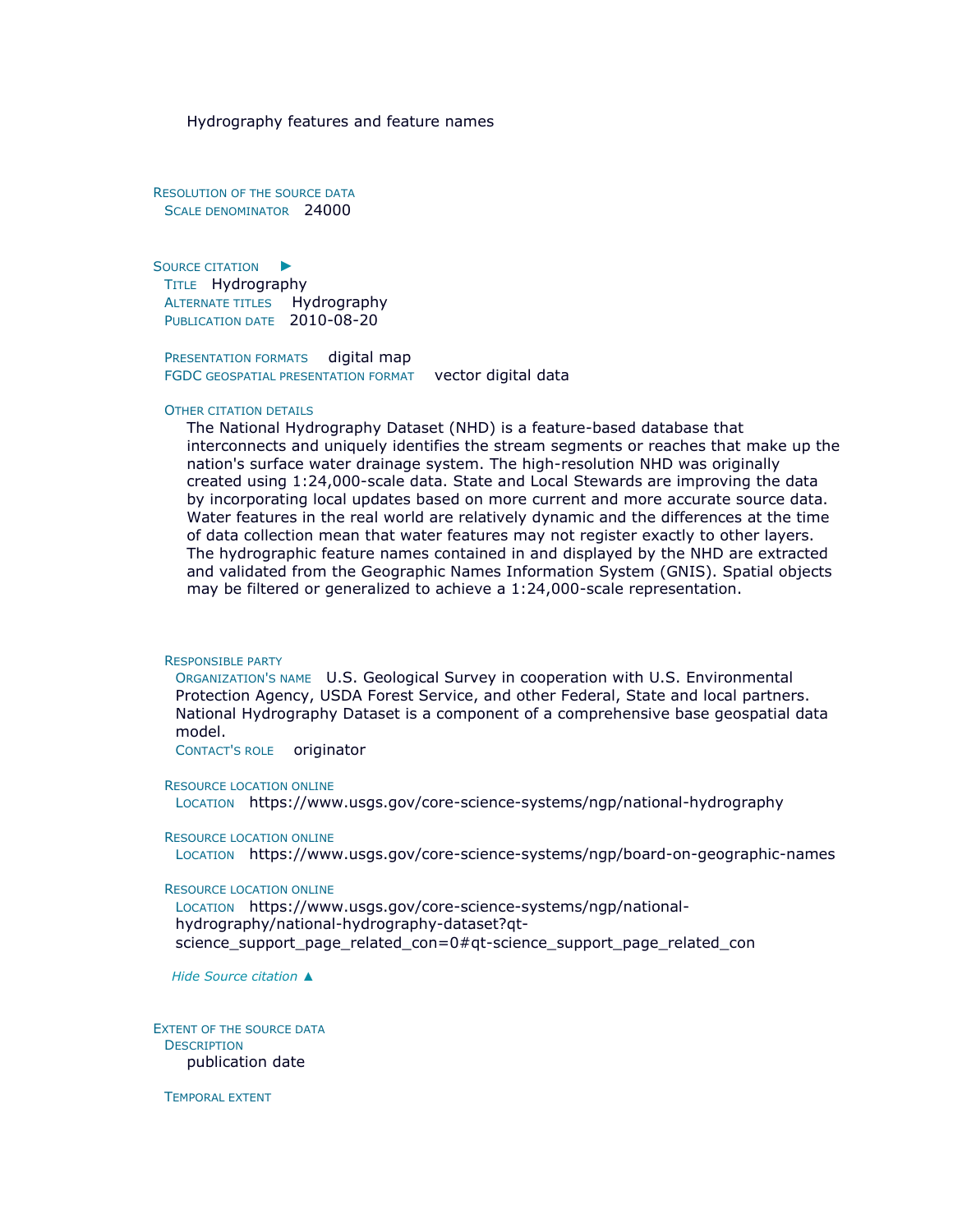Hydrography features and feature names

RESOLUTION OF THE SOURCE DATA SCALE DENOMINATOR 24000

S[OURCE CITATION](file:///C:/Users/swalker/AppData/Local/Temp/arcA846/tmpFAD.tmp.htm%23ID0EJBBAFA) ► TITLE Hydrography ALTERNATE TITLES Hydrography PUBLICATION DATE 2010-08-20

PRESENTATION FORMATS digital map FGDC GEOSPATIAL PRESENTATION FORMAT vector digital data

#### OTHER CITATION DETAILS

The National Hydrography Dataset (NHD) is a feature-based database that interconnects and uniquely identifies the stream segments or reaches that make up the nation's surface water drainage system. The high-resolution NHD was originally created using 1:24,000-scale data. State and Local Stewards are improving the data by incorporating local updates based on more current and more accurate source data. Water features in the real world are relatively dynamic and the differences at the time of data collection mean that water features may not register exactly to other layers. The hydrographic feature names contained in and displayed by the NHD are extracted and validated from the Geographic Names Information System (GNIS). Spatial objects may be filtered or generalized to achieve a 1:24,000-scale representation.

#### RESPONSIBLE PARTY

ORGANIZATION'S NAME U.S. Geological Survey in cooperation with U.S. Environmental Protection Agency, USDA Forest Service, and other Federal, State and local partners. National Hydrography Dataset is a component of a comprehensive base geospatial data model.

CONTACT'S ROLE originator

RESOURCE LOCATION ONLINE

LOCATION https://www.usgs.gov/core-science-systems/ngp/national-hydrography

RESOURCE LOCATION ONLINE

LOCATION https://www.usgs.gov/core-science-systems/ngp/board-on-geographic-names

RESOURCE LOCATION ONLINE

LOCATION https://www.usgs.gov/core-science-systems/ngp/nationalhydrography/national-hydrography-dataset?qtscience\_support\_page\_related\_con=0#qt-science\_support\_page\_related\_con

*Hide [Source citation](file:///C:/Users/swalker/AppData/Local/Temp/arcA846/tmpFAD.tmp.htm%23ID0EJBBAFA) [▲](file:///C:/Users/swalker/AppData/Local/Temp/arcA846/tmpFAD.tmp.htm%23ID0EJBBAFA)*

EXTENT OF THE SOURCE DATA **DESCRIPTION** publication date

TEMPORAL EXTENT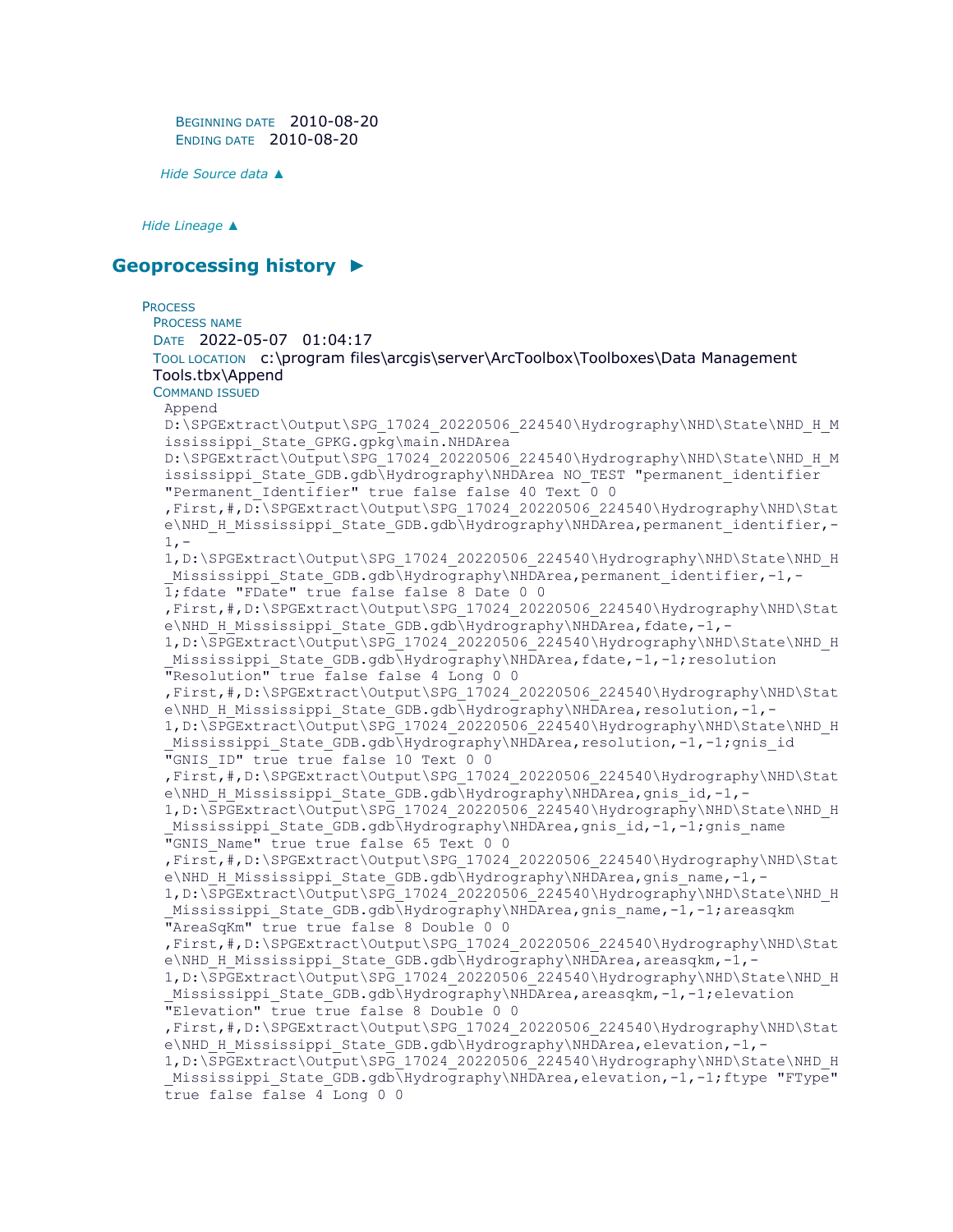BEGINNING DATE 2010-08-20 ENDING DATE 2010-08-20

*Hide [Source data](file:///C:/Users/swalker/AppData/Local/Temp/arcA846/tmpFAD.tmp.htm%23ID0EDBAFA) [▲](file:///C:/Users/swalker/AppData/Local/Temp/arcA846/tmpFAD.tmp.htm%23ID0EDBAFA)*

*Hide [Lineage](file:///C:/Users/swalker/AppData/Local/Temp/arcA846/tmpFAD.tmp.htm%23ID0EAFA) [▲](file:///C:/Users/swalker/AppData/Local/Temp/arcA846/tmpFAD.tmp.htm%23ID0EAFA)*

## **[Geoprocessing history](file:///C:/Users/swalker/AppData/Local/Temp/arcA846/tmpFAD.tmp.htm%23ID0ECHRA) [►](file:///C:/Users/swalker/AppData/Local/Temp/arcA846/tmpFAD.tmp.htm%23ID0ECHRA)**

### **PROCESS** PROCESS NAME DATE 2022-05-07 01:04:17 TOOL LOCATION c:\program files\arcgis\server\ArcToolbox\Toolboxes\Data Management Tools.tbx\Append COMMAND ISSUED Append D:\SPGExtract\Output\SPG\_17024\_20220506\_224540\Hydrography\NHD\State\NHD\_H\_M ississippi State GPKG.gpkg\main.NHDArea D:\SPGExtract\Output\SPG\_17024\_20220506\_224540\Hydrography\NHD\State\NHD\_H\_M ississippi State GDB.gdb\Hydrography\NHDArea NO\_TEST "permanent\_identifier "Permanent\_Identifier" true false false 40 Text 0 0 ,First,#,D:\SPGExtract\Output\SPG\_17024\_20220506\_224540\Hydrography\NHD\Stat e\NHD\_H\_Mississippi\_State\_GDB.gdb\Hydrography\NHDArea,permanent\_identifier,- $1, -$ 1,D:\SPGExtract\Output\SPG\_17024\_20220506\_224540\Hydrography\NHD\State\NHD\_H Mississippi State GDB.gdb\Hydrography\NHDArea,permanent identifier,-1,-1;fdate "FDate" true false false 8 Date 0 0 ,First,#,D:\SPGExtract\Output\SPG\_17024\_20220506\_224540\Hydrography\NHD\Stat e\NHD\_H\_Mississippi\_State\_GDB.gdb\Hydrography\NHDArea,fdate,-1,-1,D:\SPGExtract\Output\SPG\_17024\_20220506\_224540\Hydrography\NHD\State\NHD\_H Mississippi State GDB.gdb\Hydrography\NHDArea,fdate,-1,-1;resolution "Resolution" true false false 4 Long 0 0 ,First,#,D:\SPGExtract\Output\SPG\_17024\_20220506\_224540\Hydrography\NHD\Stat e\NHD\_H\_Mississippi\_State\_GDB.gdb\Hydrography\NHDArea,resolution,-1,-1,D:\SPGExtract\Output\SPG\_17024\_20220506\_224540\Hydrography\NHD\State\NHD\_H Mississippi State GDB.gdb\Hydrography\NHDArea,resolution,-1,-1;gnis id "GNIS ID" true true false 10 Text 0 0 ,First,#,D:\SPGExtract\Output\SPG\_17024\_20220506\_224540\Hydrography\NHD\Stat e\NHD\_H\_Mississippi\_State\_GDB.gdb\Hydrography\NHDArea,gnis\_id,-1,-1,D:\SPGExtract\Output\SPG\_17024\_20220506\_224540\Hydrography\NHD\State\NHD\_H Mississippi State GDB.gdb\Hydrography\NHDArea,gnis id,-1,-1;gnis name "GNIS Name" true true false 65 Text 0 0 ,First,#,D:\SPGExtract\Output\SPG\_17024\_20220506\_224540\Hydrography\NHD\Stat e\NHD\_H\_Mississippi\_State\_GDB.gdb\Hydrography\NHDArea,gnis\_name,-1,-1,D:\SPGExtract\Output\SPG\_17024\_20220506\_224540\Hydrography\NHD\State\NHD\_H Mississippi State GDB.gdb\Hydrography\NHDArea,gnis\_name,-1,-1;areasqkm "AreaSqKm" true true false 8 Double 0 0 ,First,#,D:\SPGExtract\Output\SPG\_17024\_20220506\_224540\Hydrography\NHD\Stat e\NHD\_H\_Mississippi\_State\_GDB.gdb\Hydrography\NHDArea,areasqkm,-1,-1, D:\SPGExtract\Output\SPG\_17024\_20220506\_224540\Hydrography\NHD\State\NHD\_H Mississippi State GDB.gdb\Hydrography\NHDArea,areasqkm,-1,-1;elevation "Elevation" true true false 8 Double 0 0 ,First,#,D:\SPGExtract\Output\SPG\_17024\_20220506\_224540\Hydrography\NHD\Stat e\NHD\_H\_Mississippi\_State\_GDB.gdb\Hydrography\NHDArea,elevation,-1,-1,D:\SPGExtract\Output\SPG\_17024\_20220506\_224540\Hydrography\NHD\State\NHD\_H Mississippi State GDB.gdb\Hydrography\NHDArea,elevation,-1,-1;ftype "FType" true false false 4 Long 0 0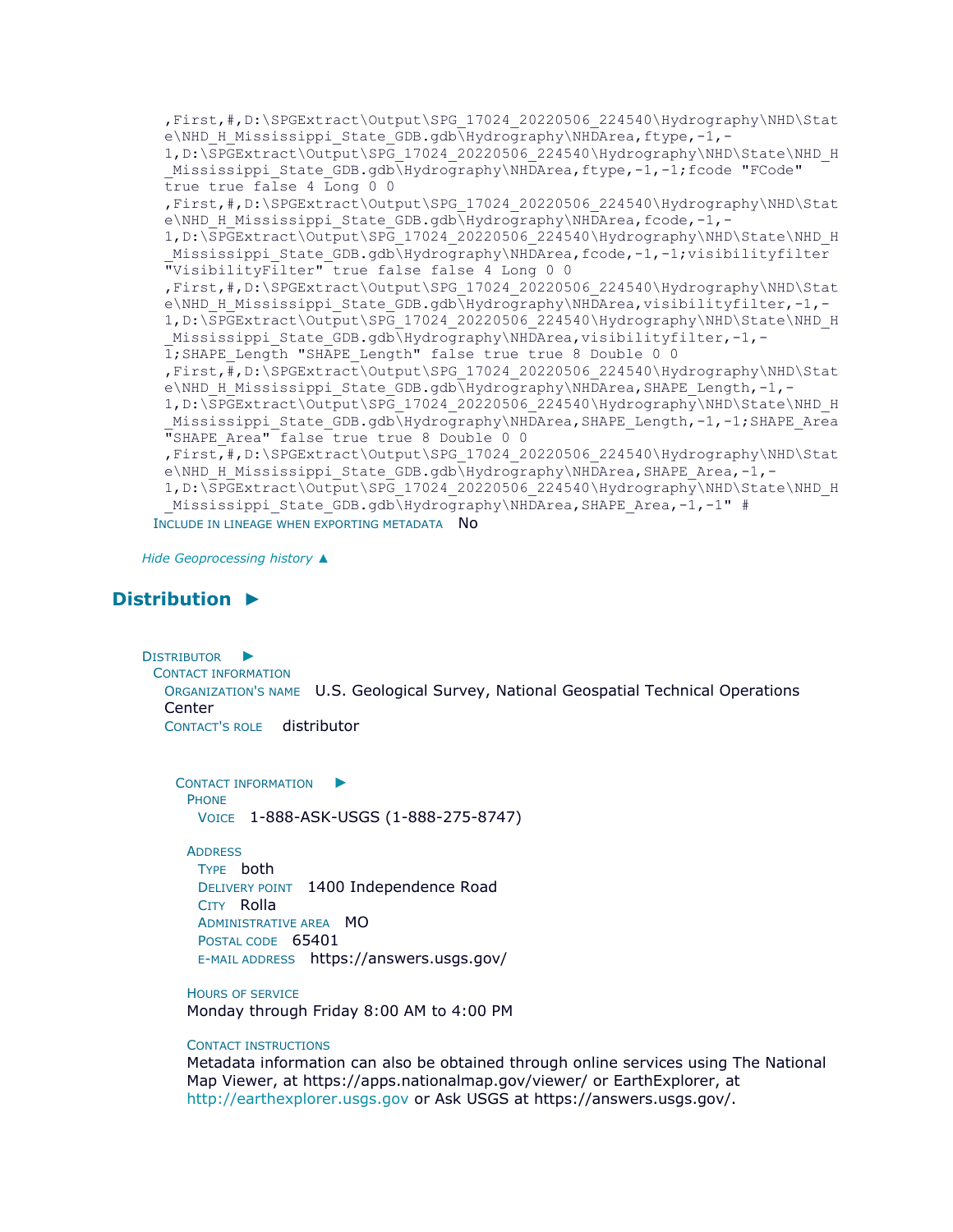```
,First,#,D:\SPGExtract\Output\SPG_17024_20220506_224540\Hydrography\NHD\Stat
 e\NHD_H_Mississippi_State_GDB.gdb\Hydrography\NHDArea,ftype,-1,-
 1, D:\SPGExtract\Output\SPG_17024_20220506_224540\Hydrography\NHD\State\NHD_H
 Mississippi State GDB.gdb\Hydrography\NHDArea,ftype,-1,-1;fcode "FCode"
 true true false 4 Long 0 0 
 ,First,#,D:\SPGExtract\Output\SPG_17024_20220506_224540\Hydrography\NHD\Stat
 e\NHD_H_Mississippi_State_GDB.gdb\Hydrography\NHDArea,fcode,-1,-
 1,D:\SPGExtract\Output\SPG_17024_20220506_224540\Hydrography\NHD\State\NHD_H
 Mississippi State GDB.gdb\Hydrography\NHDArea,fcode,-1,-1;visibilityfilter
 "VisibilityFilter" true false false 4 Long 0 0 
 ,First,#,D:\SPGExtract\Output\SPG_17024_20220506_224540\Hydrography\NHD\Stat
 e\NHD_H_Mississippi_State_GDB.gdb\Hydrography\NHDArea,visibilityfilter,-1,-
 1,D:\SPGExtract\Output\SPG_17024_20220506_224540\Hydrography\NHD\State\NHD_H
 Mississippi State GDB.gdb\Hydrography\NHDArea,visibilityfilter,-1,-
 1;SHAPE_Length "SHAPE_Length" false true true 8 Double 0 0 
 ,First,#,D:\SPGExtract\Output\SPG_17024_20220506_224540\Hydrography\NHD\Stat
 e\NHD_H_Mississippi_State_GDB.gdb\Hydrography\NHDArea,SHAPE_Length,-1,-
 1,D:\SPGExtract\Output\SPG_17024_20220506_224540\Hydrography\NHD\State\NHD_H
 Mississippi State GDB.gdb\Hydrography\NHDArea,SHAPE Length,-1,-1;SHAPE Area
 "SHAPE_Area" false true true 8 Double 0 0 
 ,First,#,D:\SPGExtract\Output\SPG_17024_20220506_224540\Hydrography\NHD\Stat
 e\NHD_H_Mississippi_State_GDB.gdb\Hydrography\NHDArea,SHAPE_Area,-1,-
 1,D:\SPGExtract\Output\SPG_17024_20220506_224540\Hydrography\NHD\State\NHD_H
 Mississippi State GDB.gdb\Hydrography\NHDArea,SHAPE Area,-1,-1" #
INCLUDE IN LINEAGE WHEN EXPORTING METADATA NO
```
*Hide [Geoprocessing history](file:///C:/Users/swalker/AppData/Local/Temp/arcA846/tmpFAD.tmp.htm%23ID0ECHRA) [▲](file:///C:/Users/swalker/AppData/Local/Temp/arcA846/tmpFAD.tmp.htm%23ID0ECHRA)*

# **[Distribution](file:///C:/Users/swalker/AppData/Local/Temp/arcA846/tmpFAD.tmp.htm%23ID0EIA) [►](file:///C:/Users/swalker/AppData/Local/Temp/arcA846/tmpFAD.tmp.htm%23ID0EIA)**

D[ISTRIBUTOR](file:///C:/Users/swalker/AppData/Local/Temp/arcA846/tmpFAD.tmp.htm%23ID0EDCIA)  $\blacktriangleright$ CONTACT INFORMATION ORGANIZATION'S NAME U.S. Geological Survey, National Geospatial Technical Operations Center CONTACT'S ROLE distributor

C[ONTACT INFORMATION](file:///C:/Users/swalker/AppData/Local/Temp/arcA846/tmpFAD.tmp.htm%23ID0EBDCIA)  $\blacktriangleright$ PHONE VOICE 1-888-ASK-USGS (1-888-275-8747)

**ADDRESS** TYPE both DELIVERY POINT 1400 Independence Road CITY Rolla ADMINISTRATIVE AREA MO POSTAL CODE 65401 E-MAIL ADDRESS https://answers.usgs.gov/

HOURS OF SERVICE Monday through Friday 8:00 AM to 4:00 PM

#### CONTACT INSTRUCTIONS

Metadata information can also be obtained through online services using The National Map Viewer, at https://apps.nationalmap.gov/viewer/ or EarthExplorer, at [http://earthexplorer.usgs.gov](http://earthexplorer.usgs.gov/) or Ask USGS at https://answers.usgs.gov/.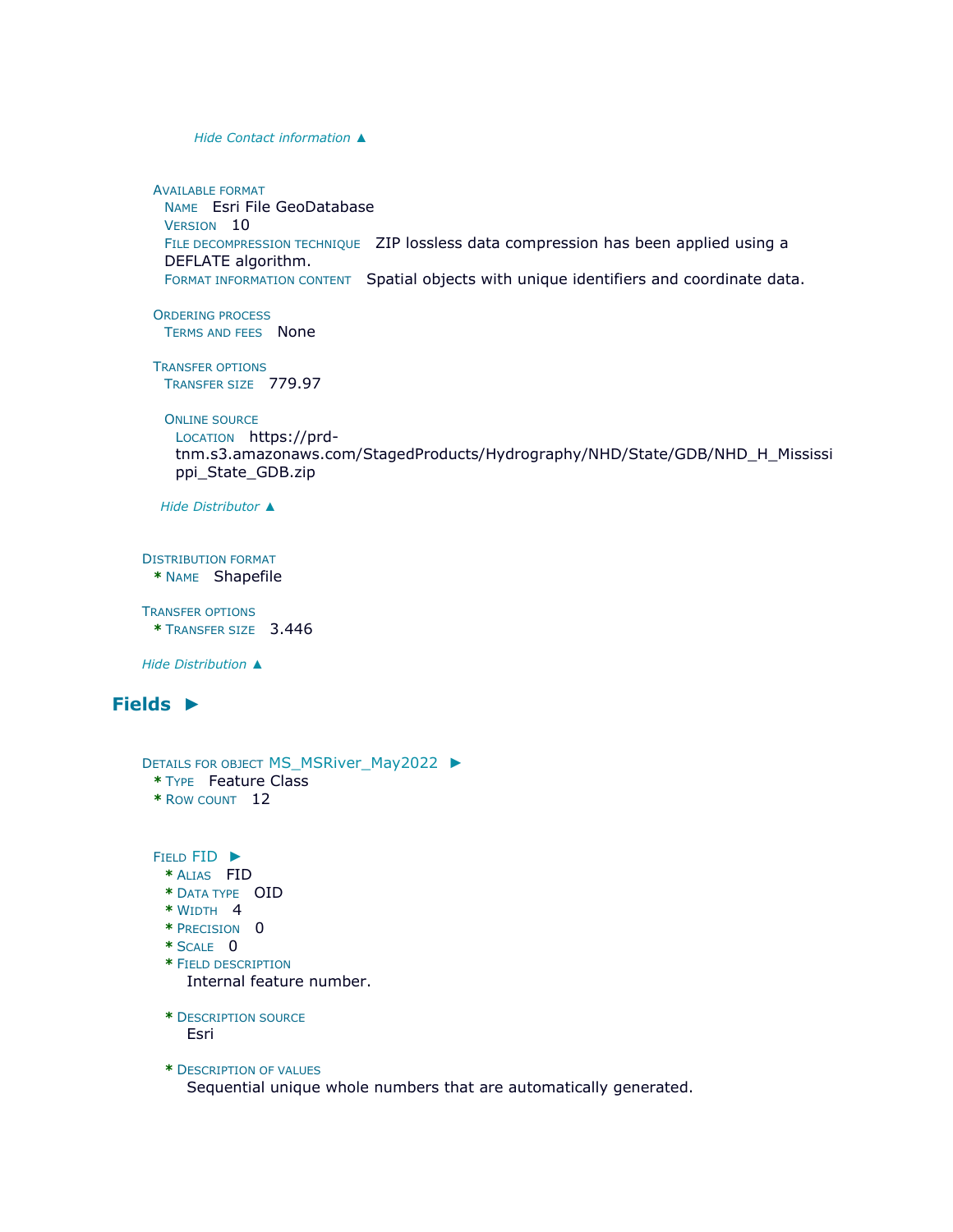*Hide [Contact information](file:///C:/Users/swalker/AppData/Local/Temp/arcA846/tmpFAD.tmp.htm%23ID0EBDCIA) [▲](file:///C:/Users/swalker/AppData/Local/Temp/arcA846/tmpFAD.tmp.htm%23ID0EBDCIA)*

AVAILABLE FORMAT NAME Esri File GeoDatabase VERSION 10 FILE DECOMPRESSION TECHNIQUE ZIP lossless data compression has been applied using a DEFLATE algorithm. FORMAT INFORMATION CONTENT Spatial objects with unique identifiers and coordinate data.

ORDERING PROCESS TERMS AND FEES None

TRANSFER OPTIONS TRANSFER SIZE 779.97

ONLINE SOURCE

```
LOCATION https://prd-
tnm.s3.amazonaws.com/StagedProducts/Hydrography/NHD/State/GDB/NHD_H_Mississi
ppi_State_GDB.zip
```
*Hide [Distributor](file:///C:/Users/swalker/AppData/Local/Temp/arcA846/tmpFAD.tmp.htm%23ID0EDCIA) [▲](file:///C:/Users/swalker/AppData/Local/Temp/arcA846/tmpFAD.tmp.htm%23ID0EDCIA)*

DISTRIBUTION FORMAT **\*** NAME Shapefile

TRANSFER OPTIONS **\*** TRANSFER SIZE 3.446

*Hide [Distribution](file:///C:/Users/swalker/AppData/Local/Temp/arcA846/tmpFAD.tmp.htm%23ID0EIA) [▲](file:///C:/Users/swalker/AppData/Local/Temp/arcA846/tmpFAD.tmp.htm%23ID0EIA)*

# **[Fields](file:///C:/Users/swalker/AppData/Local/Temp/arcA846/tmpFAD.tmp.htm%23ID0EEA) [►](file:///C:/Users/swalker/AppData/Local/Temp/arcA846/tmpFAD.tmp.htm%23ID0EEA)**

```
DETAILS FOR OBJECT MS_MSRiver_May2022 ►
 * TYPE Feature Class 
 * ROW COUNT 12
 FIELD FID ►
  * ALIAS FID 
  * DATA TYPE OID
```
- **\*** WIDTH 4
- **\*** PRECISION 0
- **\*** SCALE 0
- **\*** FIELD DESCRIPTION Internal feature number.
- **\*** DESCRIPTION SOURCE Esri

**\*** DESCRIPTION OF VALUES Sequential unique whole numbers that are automatically generated.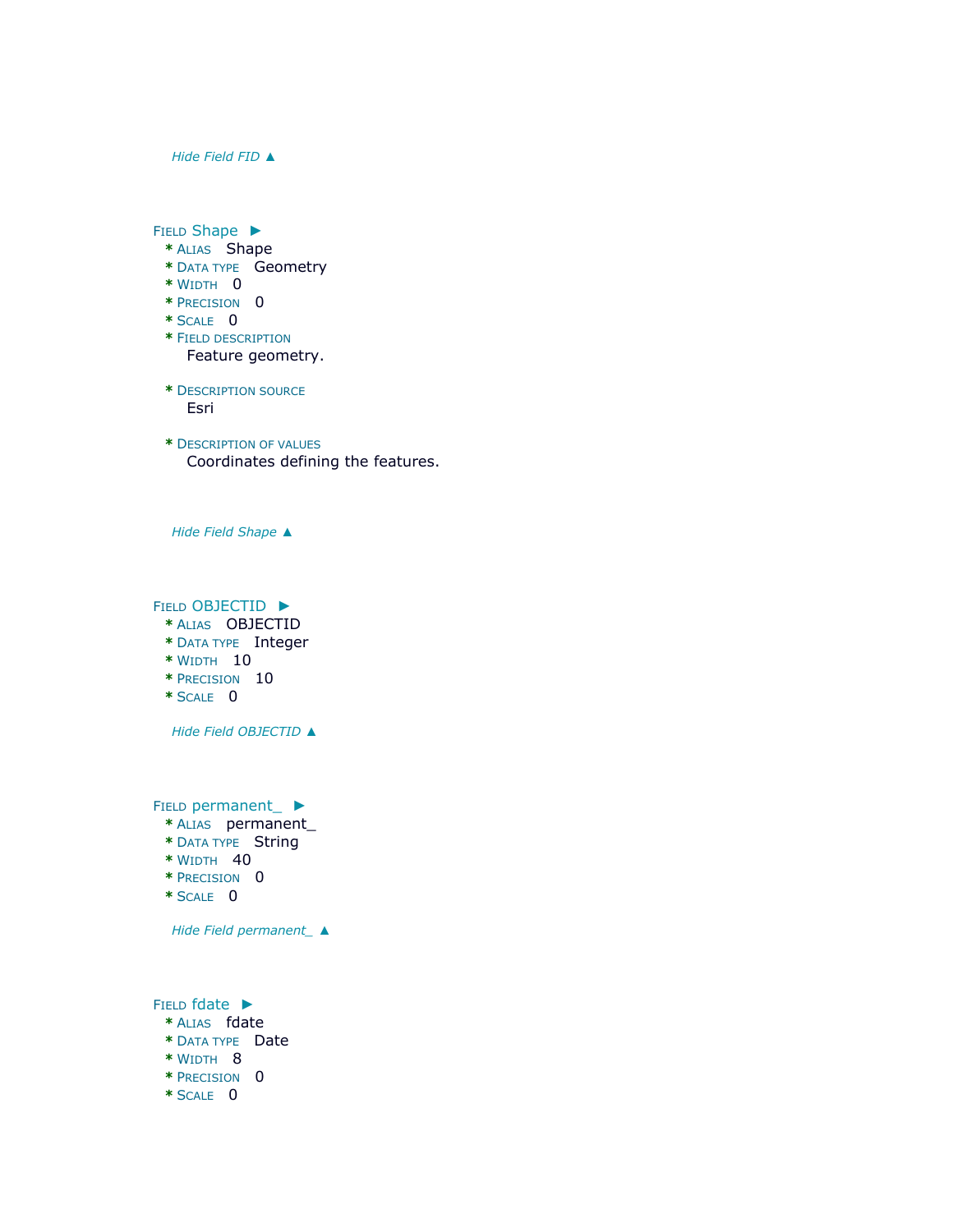*Hide [Field](file:///C:/Users/swalker/AppData/Local/Temp/arcA846/tmpFAD.tmp.htm%23ID0EOAEA) FID [▲](file:///C:/Users/swalker/AppData/Local/Temp/arcA846/tmpFAD.tmp.htm%23ID0EOAEA)*

FIELD [Shape](file:///C:/Users/swalker/AppData/Local/Temp/arcA846/tmpFAD.tmp.htm%23ID0ENAEA) ►

- **\*** ALIAS Shape
- **\*** DATA TYPE Geometry
- **\*** WIDTH 0
- **\*** PRECISION 0
- **\*** SCALE 0
- **\*** FIELD DESCRIPTION Feature geometry.
- **\*** DESCRIPTION SOURCE Esri
- **\*** DESCRIPTION OF VALUES Coordinates defining the features.

*Hide Field [Shape](file:///C:/Users/swalker/AppData/Local/Temp/arcA846/tmpFAD.tmp.htm%23ID0ENAEA) [▲](file:///C:/Users/swalker/AppData/Local/Temp/arcA846/tmpFAD.tmp.htm%23ID0ENAEA)*

FIELD [OBJECTID](file:///C:/Users/swalker/AppData/Local/Temp/arcA846/tmpFAD.tmp.htm%23ID0EMAEA) ►

- **\*** ALIAS OBJECTID
- **\*** DATA TYPE Integer
- **\*** WIDTH 10
- **\*** PRECISION 10
- **\*** SCALE 0

*Hide Field [OBJECTID](file:///C:/Users/swalker/AppData/Local/Temp/arcA846/tmpFAD.tmp.htm%23ID0EMAEA) [▲](file:///C:/Users/swalker/AppData/Local/Temp/arcA846/tmpFAD.tmp.htm%23ID0EMAEA)*

FIELD [permanent\\_](file:///C:/Users/swalker/AppData/Local/Temp/arcA846/tmpFAD.tmp.htm%23ID0ELAEA) ►

- **\*** ALIAS permanent\_
- **\*** DATA TYPE String
- **\*** WIDTH 40
- **\*** PRECISION 0
- **\*** SCALE 0

*Hide Field [permanent\\_](file:///C:/Users/swalker/AppData/Local/Temp/arcA846/tmpFAD.tmp.htm%23ID0ELAEA) [▲](file:///C:/Users/swalker/AppData/Local/Temp/arcA846/tmpFAD.tmp.htm%23ID0ELAEA)*

FIELD [fdate](file:///C:/Users/swalker/AppData/Local/Temp/arcA846/tmpFAD.tmp.htm%23ID0EKAEA) ► **\*** ALIAS fdate **\*** DATA TYPE Date **\*** WIDTH 8 **\*** PRECISION 0 **\*** SCALE 0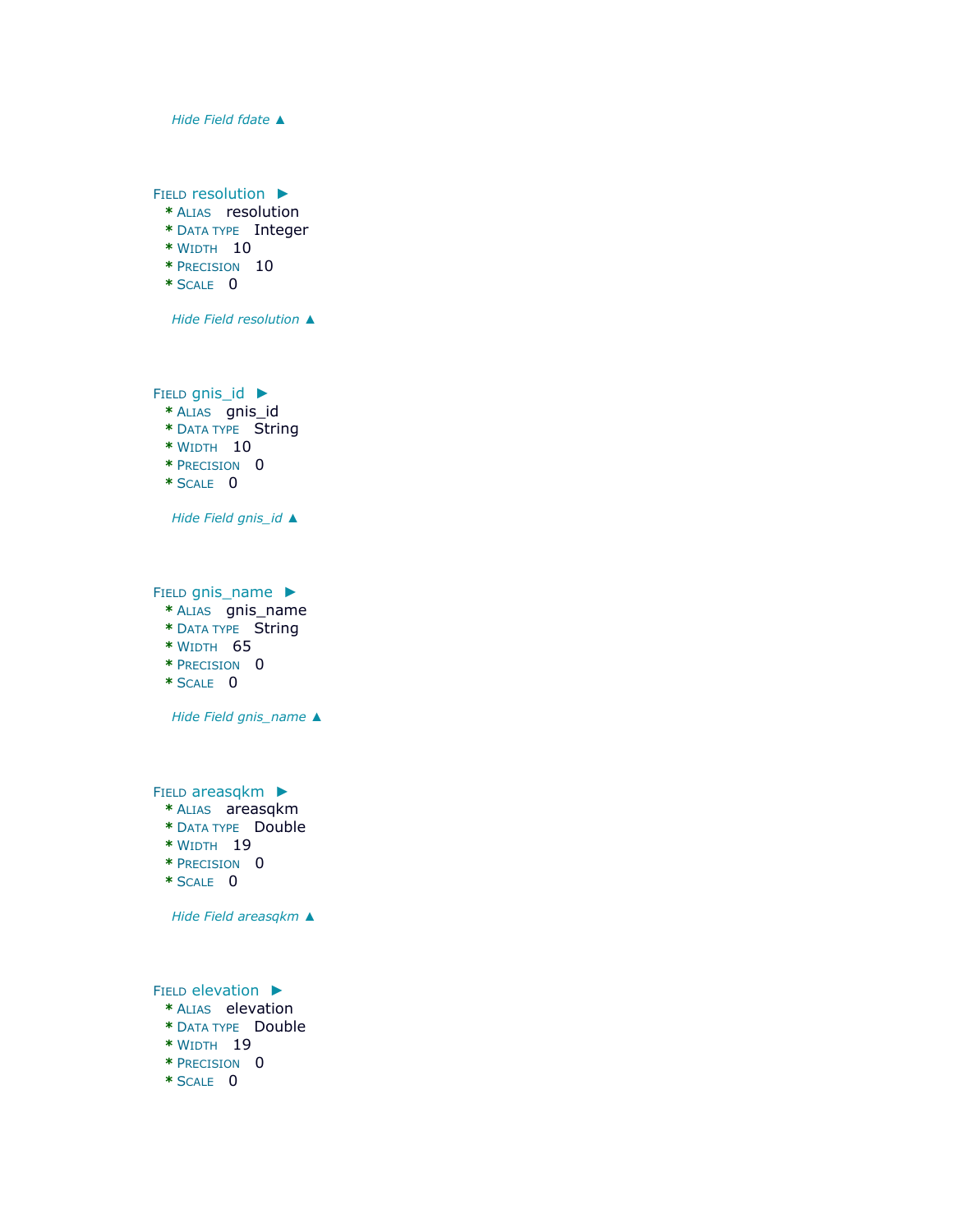

FIELD [resolution](file:///C:/Users/swalker/AppData/Local/Temp/arcA846/tmpFAD.tmp.htm%23ID0EJAEA) ►

- **\*** ALIAS resolution
- **\*** DATA TYPE Integer
- **\*** WIDTH 10
- **\*** PRECISION 10
- **\*** SCALE 0

*Hide Field [resolution](file:///C:/Users/swalker/AppData/Local/Temp/arcA846/tmpFAD.tmp.htm%23ID0EJAEA) [▲](file:///C:/Users/swalker/AppData/Local/Temp/arcA846/tmpFAD.tmp.htm%23ID0EJAEA)*

FIELD [gnis\\_id](file:///C:/Users/swalker/AppData/Local/Temp/arcA846/tmpFAD.tmp.htm%23ID0EIAEA) ► **\*** ALIAS gnis\_id **\*** DATA TYPE String **\*** WIDTH 10 **\*** PRECISION 0

**\*** SCALE 0

*Hide Field [gnis\\_id](file:///C:/Users/swalker/AppData/Local/Temp/arcA846/tmpFAD.tmp.htm%23ID0EIAEA) [▲](file:///C:/Users/swalker/AppData/Local/Temp/arcA846/tmpFAD.tmp.htm%23ID0EIAEA)*

FIELD [gnis\\_name](file:///C:/Users/swalker/AppData/Local/Temp/arcA846/tmpFAD.tmp.htm%23ID0EHAEA) ▶

- **\*** ALIAS gnis\_name
- **\*** DATA TYPE String
- **\*** WIDTH 65
- **\*** PRECISION 0
- **\*** SCALE 0

*Hide Field [gnis\\_name](file:///C:/Users/swalker/AppData/Local/Temp/arcA846/tmpFAD.tmp.htm%23ID0EHAEA) [▲](file:///C:/Users/swalker/AppData/Local/Temp/arcA846/tmpFAD.tmp.htm%23ID0EHAEA)*

FIELD [areasqkm](file:///C:/Users/swalker/AppData/Local/Temp/arcA846/tmpFAD.tmp.htm%23ID0EGAEA) ►

- **\*** ALIAS areasqkm
- **\*** DATA TYPE Double
- **\*** WIDTH 19
- **\*** PRECISION 0
- **\*** SCALE 0

*Hide Field [areasqkm](file:///C:/Users/swalker/AppData/Local/Temp/arcA846/tmpFAD.tmp.htm%23ID0EGAEA) [▲](file:///C:/Users/swalker/AppData/Local/Temp/arcA846/tmpFAD.tmp.htm%23ID0EGAEA)*

FIELD [elevation](file:///C:/Users/swalker/AppData/Local/Temp/arcA846/tmpFAD.tmp.htm%23ID0EFAEA) ►

- **\*** ALIAS elevation
- **\*** DATA TYPE Double
- **\*** WIDTH 19
- **\*** PRECISION 0
- **\*** SCALE 0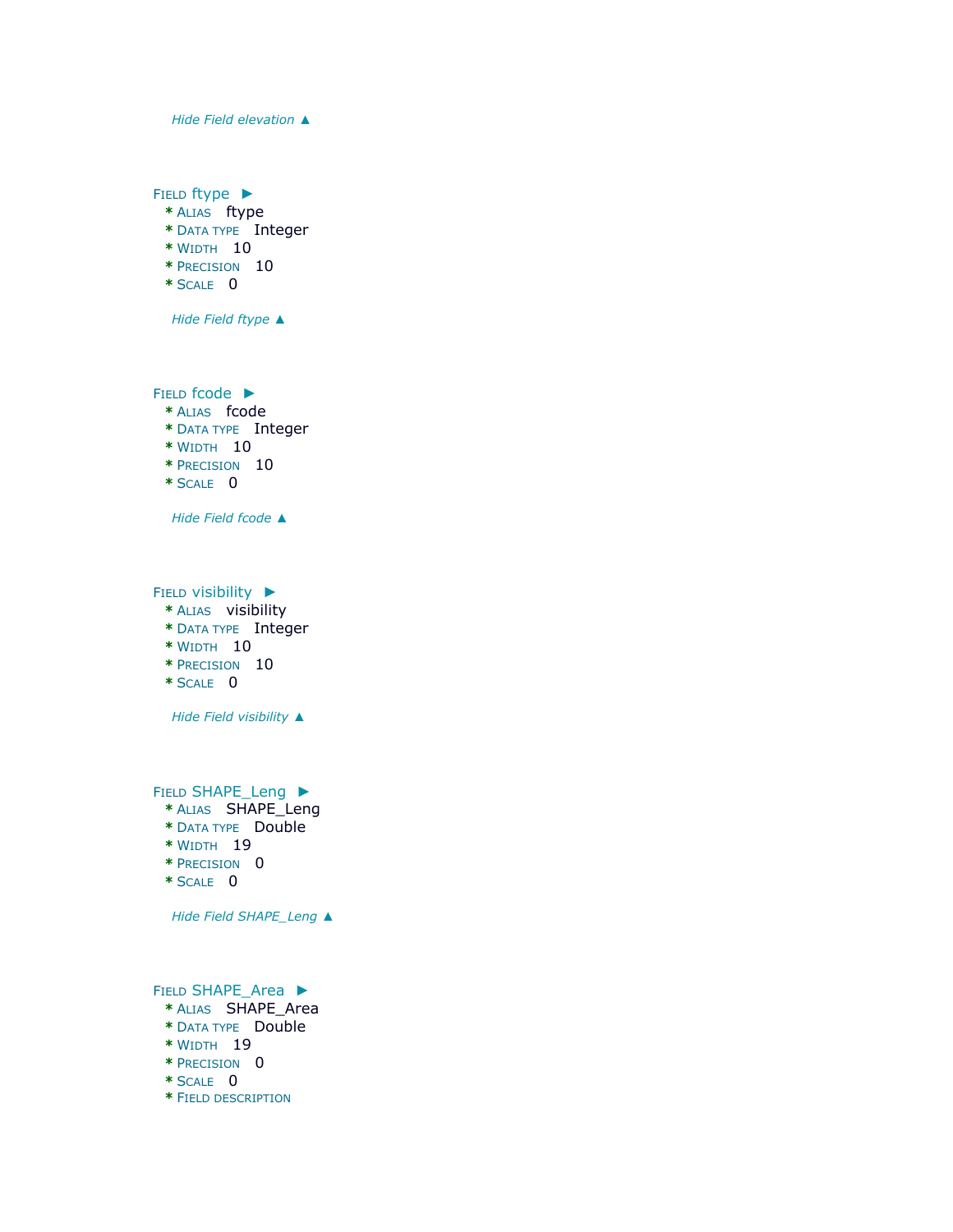*Hide Field [elevation](file:///C:/Users/swalker/AppData/Local/Temp/arcA846/tmpFAD.tmp.htm%23ID0EFAEA) [▲](file:///C:/Users/swalker/AppData/Local/Temp/arcA846/tmpFAD.tmp.htm%23ID0EFAEA)*

FIELD [ftype](file:///C:/Users/swalker/AppData/Local/Temp/arcA846/tmpFAD.tmp.htm%23ID0EEAEA) ► **\*** ALIAS ftype

- **\*** DATA TYPE Integer **\*** WIDTH 10
- **\*** PRECISION 10
- **\*** SCALE 0
- 

*Hide Field [ftype](file:///C:/Users/swalker/AppData/Local/Temp/arcA846/tmpFAD.tmp.htm%23ID0EEAEA) [▲](file:///C:/Users/swalker/AppData/Local/Temp/arcA846/tmpFAD.tmp.htm%23ID0EEAEA)*

FIELD [fcode](file:///C:/Users/swalker/AppData/Local/Temp/arcA846/tmpFAD.tmp.htm%23ID0EDAEA) ►

- **\*** ALIAS fcode
- **\*** DATA TYPE Integer
- **\*** WIDTH 10
- **\*** PRECISION 10
- **\*** SCALE 0

*Hide Field [fcode](file:///C:/Users/swalker/AppData/Local/Temp/arcA846/tmpFAD.tmp.htm%23ID0EDAEA) [▲](file:///C:/Users/swalker/AppData/Local/Temp/arcA846/tmpFAD.tmp.htm%23ID0EDAEA)*

FIELD [visibility](file:///C:/Users/swalker/AppData/Local/Temp/arcA846/tmpFAD.tmp.htm%23ID0ECAEA) ►

- **\*** ALIAS visibility
- **\*** DATA TYPE Integer
- **\*** WIDTH 10
- **\*** PRECISION 10
- **\*** SCALE 0

*Hide Field [visibility](file:///C:/Users/swalker/AppData/Local/Temp/arcA846/tmpFAD.tmp.htm%23ID0ECAEA) [▲](file:///C:/Users/swalker/AppData/Local/Temp/arcA846/tmpFAD.tmp.htm%23ID0ECAEA)*

FIELD [SHAPE\\_Leng](file:///C:/Users/swalker/AppData/Local/Temp/arcA846/tmpFAD.tmp.htm%23ID0EBAEA) ▶

- **\*** ALIAS SHAPE\_Leng
- **\*** DATA TYPE Double
- **\*** WIDTH 19
- **\*** PRECISION 0
- **\*** SCALE 0

*Hide Field [SHAPE\\_Leng](file:///C:/Users/swalker/AppData/Local/Temp/arcA846/tmpFAD.tmp.htm%23ID0EBAEA) [▲](file:///C:/Users/swalker/AppData/Local/Temp/arcA846/tmpFAD.tmp.htm%23ID0EBAEA)*

FIELD [SHAPE\\_Area](file:///C:/Users/swalker/AppData/Local/Temp/arcA846/tmpFAD.tmp.htm%23ID0EAAEA) ►

- **\*** ALIAS SHAPE\_Area
- **\*** DATA TYPE Double
- **\*** WIDTH 19
- **\*** PRECISION 0
- **\*** SCALE 0
- **\*** FIELD DESCRIPTION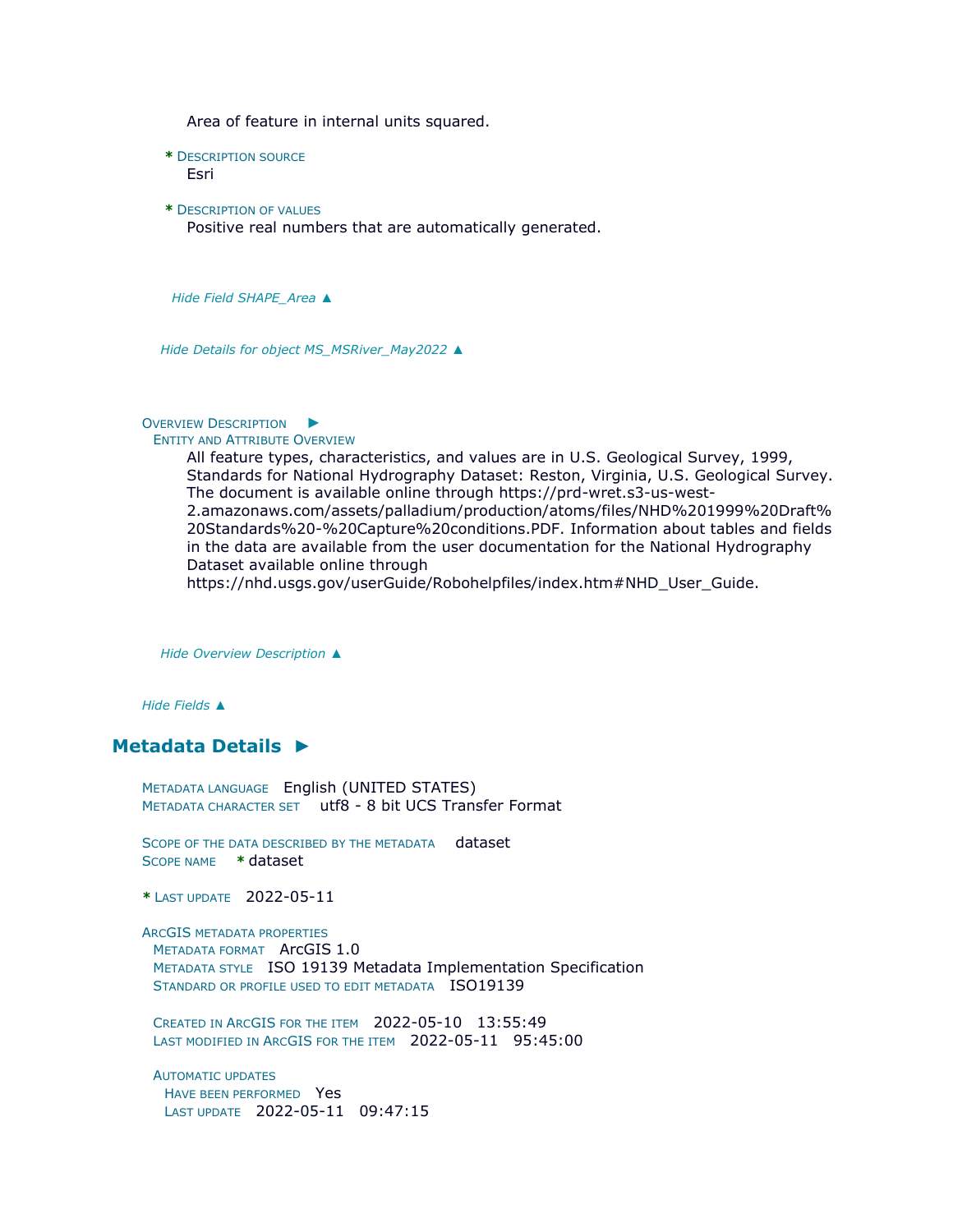Area of feature in internal units squared.

**\*** DESCRIPTION SOURCE

Esri

**\*** DESCRIPTION OF VALUES Positive real numbers that are automatically generated.

*Hide Field [SHAPE\\_Area](file:///C:/Users/swalker/AppData/Local/Temp/arcA846/tmpFAD.tmp.htm%23ID0EAAEA) [▲](file:///C:/Users/swalker/AppData/Local/Temp/arcA846/tmpFAD.tmp.htm%23ID0EAAEA)*

*Hide Details for object [MS\\_MSRiver\\_May2022](file:///C:/Users/swalker/AppData/Local/Temp/arcA846/tmpFAD.tmp.htm%23ID0EAEA) [▲](file:///C:/Users/swalker/AppData/Local/Temp/arcA846/tmpFAD.tmp.htm%23ID0EAEA)*

#### OVERVIEW D[ESCRIPTION](file:///C:/Users/swalker/AppData/Local/Temp/arcA846/tmpFAD.tmp.htm%23ID0EBEA) ►

#### ENTITY AND ATTRIBUTE OVERVIEW

All feature types, characteristics, and values are in U.S. Geological Survey, 1999, Standards for National Hydrography Dataset: Reston, Virginia, U.S. Geological Survey. The document is available online through https://prd-wret.s3-us-west-2.amazonaws.com/assets/palladium/production/atoms/files/NHD%201999%20Draft% 20Standards%20-%20Capture%20conditions.PDF. Information about tables and fields in the data are available from the user documentation for the National Hydrography Dataset available online through

https://nhd.usgs.gov/userGuide/Robohelpfiles/index.htm#NHD\_User\_Guide.

*Hide [Overview Description](file:///C:/Users/swalker/AppData/Local/Temp/arcA846/tmpFAD.tmp.htm%23ID0EBEA) [▲](file:///C:/Users/swalker/AppData/Local/Temp/arcA846/tmpFAD.tmp.htm%23ID0EBEA)*

*Hide [Fields](file:///C:/Users/swalker/AppData/Local/Temp/arcA846/tmpFAD.tmp.htm%23ID0EEA) [▲](file:///C:/Users/swalker/AppData/Local/Temp/arcA846/tmpFAD.tmp.htm%23ID0EEA)*

# **[Metadata Details](file:///C:/Users/swalker/AppData/Local/Temp/arcA846/tmpFAD.tmp.htm%23ID0TALRA) [►](file:///C:/Users/swalker/AppData/Local/Temp/arcA846/tmpFAD.tmp.htm%23ID0TALRA)**

METADATA LANGUAGE English (UNITED STATES) METADATA CHARACTER SET utf8 - 8 bit UCS Transfer Format

SCOPE OF THE DATA DESCRIBED BY THE METADATA dataset SCOPE NAME **\*** dataset

**\*** LAST UPDATE 2022-05-11

ARCGIS METADATA PROPERTIES METADATA FORMAT ArcGIS 1.0

METADATA STYLE ISO 19139 Metadata Implementation Specification STANDARD OR PROFILE USED TO EDIT METADATA ISO19139

CREATED IN ARCGIS FOR THE ITEM 2022-05-10 13:55:49 LAST MODIFIED IN ARCGIS FOR THE ITEM 2022-05-11 95:45:00

AUTOMATIC UPDATES HAVE BEEN PERFORMED Yes LAST UPDATE 2022-05-11 09:47:15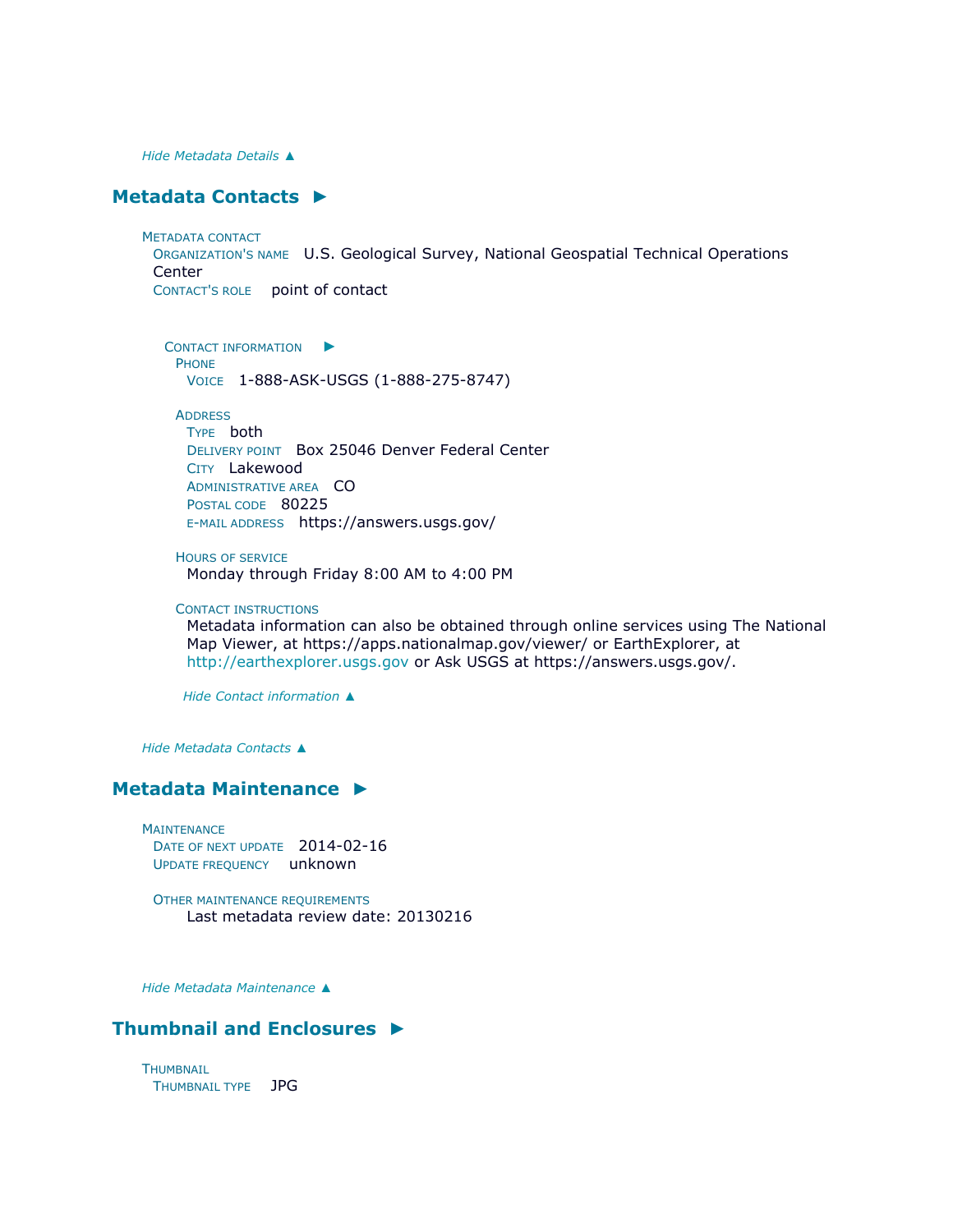*Hide [Metadata Details](file:///C:/Users/swalker/AppData/Local/Temp/arcA846/tmpFAD.tmp.htm%23ID0TALRA) [▲](file:///C:/Users/swalker/AppData/Local/Temp/arcA846/tmpFAD.tmp.htm%23ID0TALRA)*

## **[Metadata Contacts](file:///C:/Users/swalker/AppData/Local/Temp/arcA846/tmpFAD.tmp.htm%23ID0EMA) [►](file:///C:/Users/swalker/AppData/Local/Temp/arcA846/tmpFAD.tmp.htm%23ID0EMA)**

METADATA CONTACT ORGANIZATION'S NAME U.S. Geological Survey, National Geospatial Technical Operations **Center** CONTACT'S ROLE point of contact

C[ONTACT INFORMATION](file:///C:/Users/swalker/AppData/Local/Temp/arcA846/tmpFAD.tmp.htm%23ID0EBMA) PHONE VOICE 1-888-ASK-USGS (1-888-275-8747)

### **ADDRESS**

TYPE both DELIVERY POINT Box 25046 Denver Federal Center CITY Lakewood ADMINISTRATIVE AREA CO POSTAL CODE 80225 E-MAIL ADDRESS https://answers.usgs.gov/

HOURS OF SERVICE

Monday through Friday 8:00 AM to 4:00 PM

### CONTACT INSTRUCTIONS

Metadata information can also be obtained through online services using The National Map Viewer, at https://apps.nationalmap.gov/viewer/ or EarthExplorer, at [http://earthexplorer.usgs.gov](http://earthexplorer.usgs.gov/) or Ask USGS at https://answers.usgs.gov/.

*Hide [Contact information](file:///C:/Users/swalker/AppData/Local/Temp/arcA846/tmpFAD.tmp.htm%23ID0EBMA) [▲](file:///C:/Users/swalker/AppData/Local/Temp/arcA846/tmpFAD.tmp.htm%23ID0EBMA)*

*Hide [Metadata Contacts](file:///C:/Users/swalker/AppData/Local/Temp/arcA846/tmpFAD.tmp.htm%23ID0EMA) [▲](file:///C:/Users/swalker/AppData/Local/Temp/arcA846/tmpFAD.tmp.htm%23ID0EMA)*

## **[Metadata Maintenance](file:///C:/Users/swalker/AppData/Local/Temp/arcA846/tmpFAD.tmp.htm%23ID0EGA) [►](file:///C:/Users/swalker/AppData/Local/Temp/arcA846/tmpFAD.tmp.htm%23ID0EGA)**

**MAINTENANCE** DATE OF NEXT UPDATE 2014-02-16 UPDATE FREQUENCY unknown

OTHER MAINTENANCE REQUIREMENTS Last metadata review date: 20130216

*Hide [Metadata Maintenance](file:///C:/Users/swalker/AppData/Local/Temp/arcA846/tmpFAD.tmp.htm%23ID0EGA) [▲](file:///C:/Users/swalker/AppData/Local/Temp/arcA846/tmpFAD.tmp.htm%23ID0EGA)*

# **[Thumbnail and Enclosures](file:///C:/Users/swalker/AppData/Local/Temp/arcA846/tmpFAD.tmp.htm%23ID0EQA) [►](file:///C:/Users/swalker/AppData/Local/Temp/arcA846/tmpFAD.tmp.htm%23ID0EQA)**

**THUMBNAIL** THUMBNAIL TYPE JPG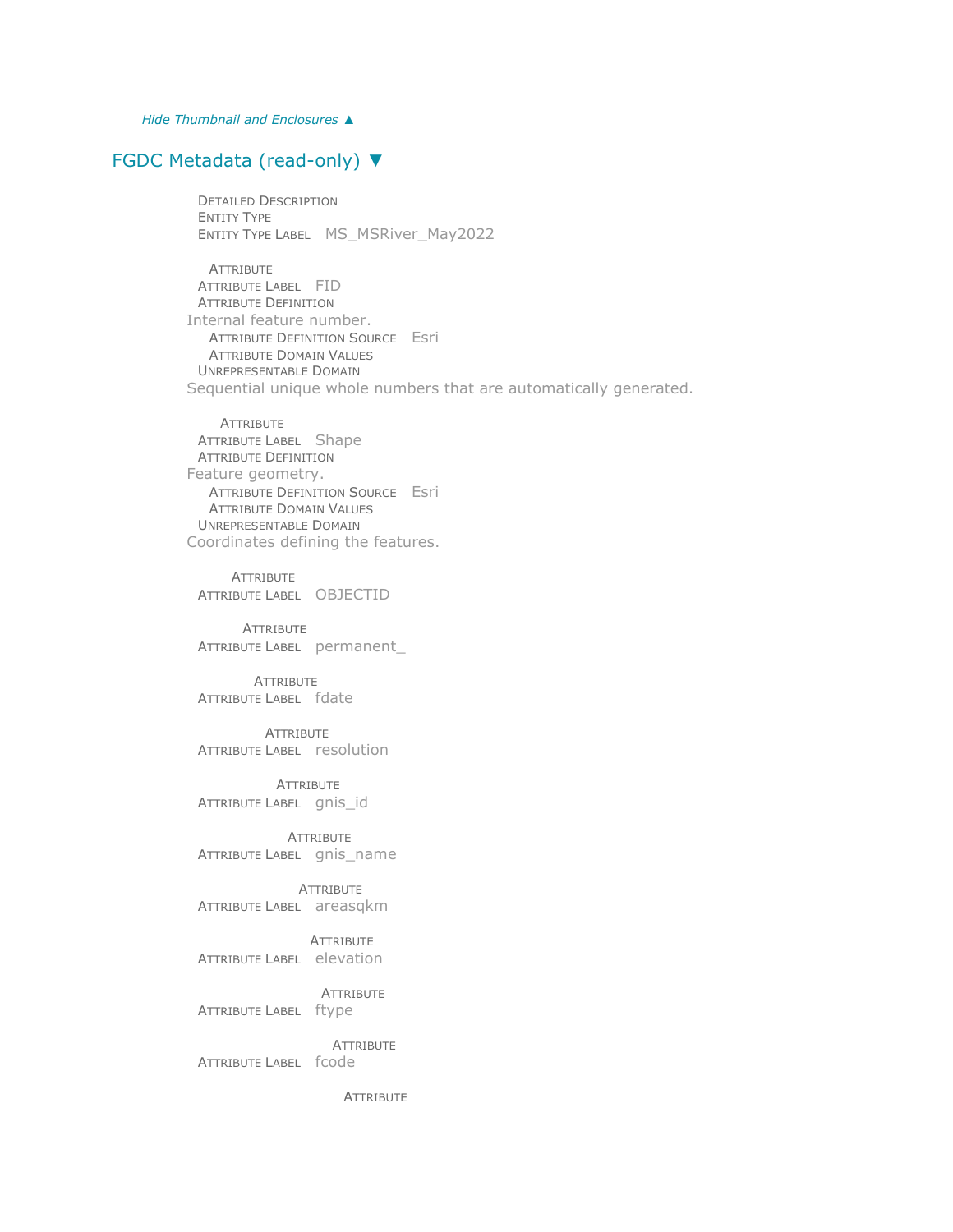*Hide [Thumbnail and Enclosures](file:///C:/Users/swalker/AppData/Local/Temp/arcA846/tmpFAD.tmp.htm%23ID0EQA) [▲](file:///C:/Users/swalker/AppData/Local/Temp/arcA846/tmpFAD.tmp.htm%23ID0EQA)*

### [FGDC Metadata \(read-only\)](file:///C:/Users/swalker/AppData/Local/Temp/arcA846/tmpFAD.tmp.htm%23fgdcMetadata) [▼](file:///C:/Users/swalker/AppData/Local/Temp/arcA846/tmpFAD.tmp.htm%23fgdcMetadata)

DETAILED DESCRIPTION ENTITY TYPE ENTITY TYPE LABEL MS\_MSRiver\_May2022

ATTRIBUTE ATTRIBUTE LABEL FID ATTRIBUTE DEFINITION Internal feature number. ATTRIBUTE DEFINITION SOURCE Esri ATTRIBUTE DOMAIN VALUES UNREPRESENTABLE DOMAIN Sequential unique whole numbers that are automatically generated.

**ATTRIBUTE** ATTRIBUTE LABEL Shape ATTRIBUTE DEFINITION Feature geometry. ATTRIBUTE DEFINITION SOURCE Esri ATTRIBUTE DOMAIN VALUES UNREPRESENTABLE DOMAIN Coordinates defining the features.

**ATTRIBUTE** ATTRIBUTE LABEL OBJECTID

**ATTRIBUTE** ATTRIBUTE LABEL permanent\_

**ATTRIBUTE** ATTRIBUTE LABEL fdate

**ATTRIBUTE** ATTRIBUTE LABEL resolution

**ATTRIBUTE** ATTRIBUTE LABEL gnis\_id

**ATTRIBUTE** ATTRIBUTE LABEL gnis\_name

**ATTRIBUTE** ATTRIBUTE LABEL areasqkm

**ATTRIBUTE** ATTRIBUTE LABEL elevation

ATTRIBUTE ATTRIBUTE LABEL ftype

**ATTRIBUTE** ATTRIBUTE LABEL fcode

**ATTRIBUTE**